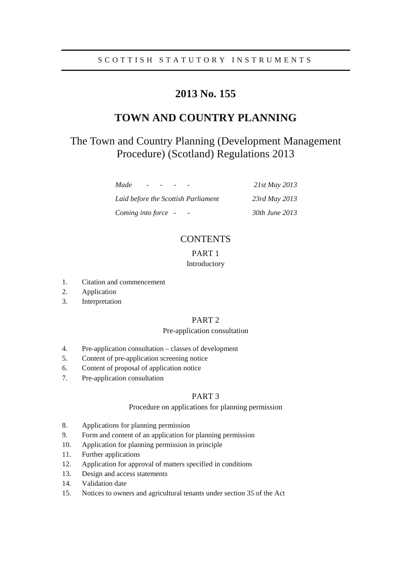# **2013 No. 155**

# **TOWN AND COUNTRY PLANNING**

# The Town and Country Planning (Development Management Procedure) (Scotland) Regulations 2013

| Made<br>$\overline{\phantom{0}}$    | 21st May 2013  |
|-------------------------------------|----------------|
| Laid before the Scottish Parliament | 23rd May 2013  |
| Coming into force -                 | 30th June 2013 |

## **CONTENTS**

# PART 1

## Introductory

- 1. Citation and commencement
- 2. Application
- 3. Interpretation

## PART 2

### Pre-application consultation

- 4. Pre-application consultation classes of development
- 5. Content of pre-application screening notice
- 6. Content of proposal of application notice
- 7. Pre-application consultation

## PART 3

### Procedure on applications for planning permission

- 8. Applications for planning permission
- 9. Form and content of an application for planning permission
- 10. Application for planning permission in principle
- 11. Further applications
- 12. Application for approval of matters specified in conditions
- 13. Design and access statements
- 14. Validation date
- 15. Notices to owners and agricultural tenants under section 35 of the Act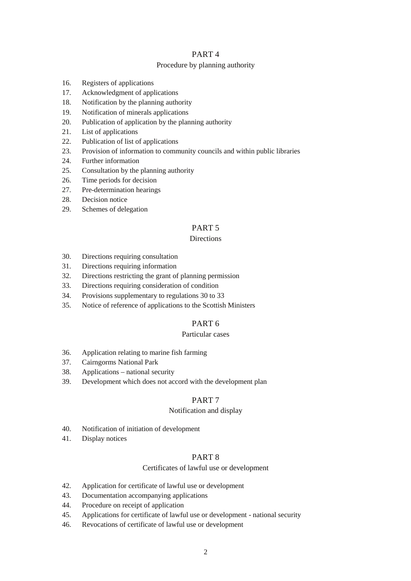### PART 4

### Procedure by planning authority

- 16. Registers of applications
- 17. Acknowledgment of applications
- 18. Notification by the planning authority
- 19. Notification of minerals applications
- 20. Publication of application by the planning authority
- 21. List of applications
- 22. Publication of list of applications
- 23. Provision of information to community councils and within public libraries
- 24. Further information
- 25. Consultation by the planning authority
- 26. Time periods for decision
- 27. Pre-determination hearings
- 28. Decision notice
- 29. Schemes of delegation

### PART 5

### **Directions**

- 30. Directions requiring consultation
- 31. Directions requiring information
- 32. Directions restricting the grant of planning permission
- 33. Directions requiring consideration of condition
- 34. Provisions supplementary to regulations 30 to 33
- 35. Notice of reference of applications to the Scottish Ministers

## PART 6

#### Particular cases

- 36. Application relating to marine fish farming
- 37. Cairngorms National Park
- 38. Applications national security
- 39. Development which does not accord with the development plan

### PART 7

### Notification and display

- 40. Notification of initiation of development
- 41. Display notices

#### PART 8

## Certificates of lawful use or development

- 42. Application for certificate of lawful use or development
- 43. Documentation accompanying applications
- 44. Procedure on receipt of application
- 45. Applications for certificate of lawful use or development national security
- 46. Revocations of certificate of lawful use or development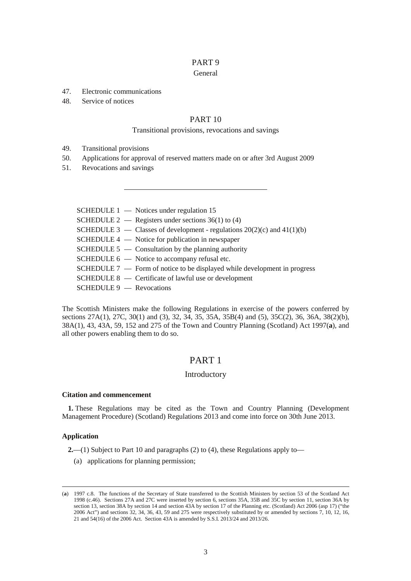## PART 9

#### General

- 47. Electronic communications
- 48. Service of notices

### PART 10

#### Transitional provisions, revocations and savings

- 49. Transitional provisions
- 50. Applications for approval of reserved matters made on or after 3rd August 2009
- 51. Revocations and savings

| $S$ CHEDULE $1$ — Notices under regulation 15                               |
|-----------------------------------------------------------------------------|
| SCHEDULE 2 — Registers under sections $36(1)$ to (4)                        |
| SCHEDULE 3 — Classes of development - regulations $20(2)(c)$ and $41(1)(b)$ |
| $SCHEDULE 4$ — Notice for publication in newspaper                          |
| SCHEDULE $5$ — Consultation by the planning authority                       |
| SCHEDULE $6 -$ Notice to accompany refusal etc.                             |
| SCHEDULE $7$ — Form of notice to be displayed while development in progress |
| $SCHEDULE 8$ — Certificate of lawful use or development                     |
| $SCHEDULE 9$ - Revocations                                                  |

The Scottish Ministers make the following Regulations in exercise of the powers conferred by sections 27A(1), 27C, 30(1) and (3), 32, 34, 35, 35A, 35B(4) and (5), 35C(2), 36, 36A, 38(2)(b), 38A(1), 43, 43A, 59, 152 and 275 of the Town and Country Planning (Scotland) Act 1997(**a**), and all other powers enabling them to do so.

## PART 1

### Introductory

#### **Citation and commencement**

**1.** These Regulations may be cited as the Town and Country Planning (Development Management Procedure) (Scotland) Regulations 2013 and come into force on 30th June 2013.

#### **Application**

<u>.</u>

**2.**—(1) Subject to Part 10 and paragraphs (2) to (4), these Regulations apply to—

(a) applications for planning permission;

<sup>(</sup>**a**) 1997 c.8. The functions of the Secretary of State transferred to the Scottish Ministers by section 53 of the Scotland Act 1998 (c.46). Sections 27A and 27C were inserted by section 6, sections 35A, 35B and 35C by section 11, section 36A by section 13, section 38A by section 14 and section 43A by section 17 of the Planning etc. (Scotland) Act 2006 (asp 17) ("the 2006 Act") and sections 32, 34, 36, 43, 59 and 275 were respectively substituted by or amended by sections 7, 10, 12, 16, 21 and 54(16) of the 2006 Act. Section 43A is amended by S.S.I. 2013/24 and 2013/26.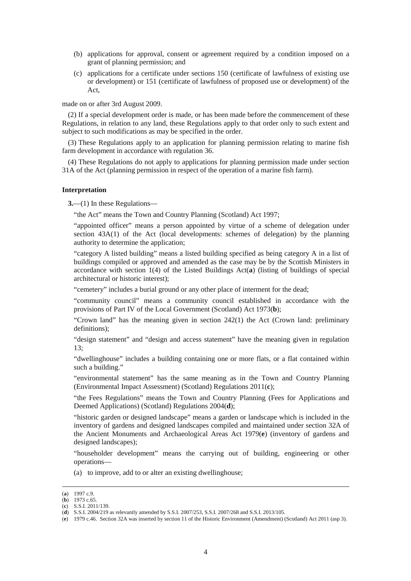- (b) applications for approval, consent or agreement required by a condition imposed on a grant of planning permission; and
- (c) applications for a certificate under sections 150 (certificate of lawfulness of existing use or development) or 151 (certificate of lawfulness of proposed use or development) of the Act,

made on or after 3rd August 2009.

(2) If a special development order is made, or has been made before the commencement of these Regulations, in relation to any land, these Regulations apply to that order only to such extent and subject to such modifications as may be specified in the order.

(3) These Regulations apply to an application for planning permission relating to marine fish farm development in accordance with regulation 36.

(4) These Regulations do not apply to applications for planning permission made under section 31A of the Act (planning permission in respect of the operation of a marine fish farm).

#### **Interpretation**

**3.**—(1) In these Regulations—

"the Act" means the Town and Country Planning (Scotland) Act 1997;

"appointed officer" means a person appointed by virtue of a scheme of delegation under section  $43A(1)$  of the Act (local developments: schemes of delegation) by the planning authority to determine the application;

"category A listed building" means a listed building specified as being category A in a list of buildings compiled or approved and amended as the case may be by the Scottish Ministers in accordance with section 1(4) of the Listed Buildings Act(**a**) (listing of buildings of special architectural or historic interest);

"cemetery" includes a burial ground or any other place of interment for the dead;

"community council" means a community council established in accordance with the provisions of Part IV of the Local Government (Scotland) Act 1973(**b**);

"Crown land" has the meaning given in section 242(1) the Act (Crown land: preliminary definitions);

"design statement" and "design and access statement" have the meaning given in regulation  $13$ 

"dwellinghouse" includes a building containing one or more flats, or a flat contained within such a building."

"environmental statement" has the same meaning as in the Town and Country Planning (Environmental Impact Assessment) (Scotland) Regulations 2011(**c**);

"the Fees Regulations" means the Town and Country Planning (Fees for Applications and Deemed Applications) (Scotland) Regulations 2004(**d**);

"historic garden or designed landscape" means a garden or landscape which is included in the inventory of gardens and designed landscapes compiled and maintained under section 32A of the Ancient Monuments and Archaeological Areas Act 1979(**e**) (inventory of gardens and designed landscapes);

"householder development" means the carrying out of building, engineering or other operations—

(a) to improve, add to or alter an existing dwellinghouse;

<sup>&</sup>lt;u>.</u> (**a**) 1997 c.9.

<sup>(</sup>**b**) 1973 c.65.

<sup>(</sup>**c**) S.S.I. 2011/139.

<sup>(</sup>**d**) S.S.I. 2004/219 as relevantly amended by S.S.I. 2007/253, S.S.I. 2007/268 and S.S.I. 2013/105.

<sup>(</sup>**e**) 1979 c.46. Section 32A was inserted by section 11 of the Historic Environment (Amendment) (Scotland) Act 2011 (asp 3).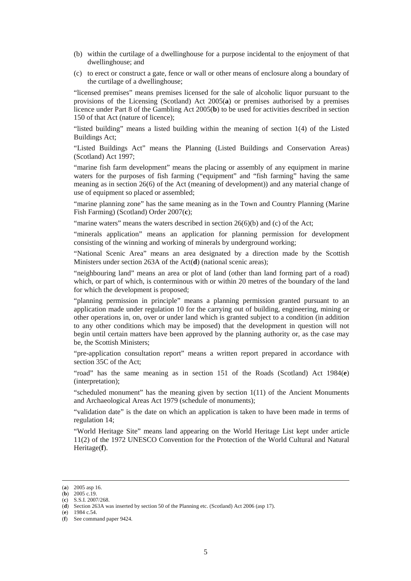- (b) within the curtilage of a dwellinghouse for a purpose incidental to the enjoyment of that dwellinghouse; and
- (c) to erect or construct a gate, fence or wall or other means of enclosure along a boundary of the curtilage of a dwellinghouse;

"licensed premises" means premises licensed for the sale of alcoholic liquor pursuant to the provisions of the Licensing (Scotland) Act 2005(**a**) or premises authorised by a premises licence under Part 8 of the Gambling Act 2005(**b**) to be used for activities described in section 150 of that Act (nature of licence);

"listed building" means a listed building within the meaning of section 1(4) of the Listed Buildings Act;

"Listed Buildings Act" means the Planning (Listed Buildings and Conservation Areas) (Scotland) Act 1997;

"marine fish farm development" means the placing or assembly of any equipment in marine waters for the purposes of fish farming ("equipment" and "fish farming" having the same meaning as in section 26(6) of the Act (meaning of development)) and any material change of use of equipment so placed or assembled;

"marine planning zone" has the same meaning as in the Town and Country Planning (Marine Fish Farming) (Scotland) Order 2007(**c**);

"marine waters" means the waters described in section  $26(6)(b)$  and (c) of the Act;

"minerals application" means an application for planning permission for development consisting of the winning and working of minerals by underground working;

"National Scenic Area" means an area designated by a direction made by the Scottish Ministers under section 263A of the Act(**d**) (national scenic areas);

"neighbouring land" means an area or plot of land (other than land forming part of a road) which, or part of which, is conterminous with or within 20 metres of the boundary of the land for which the development is proposed;

"planning permission in principle" means a planning permission granted pursuant to an application made under regulation 10 for the carrying out of building, engineering, mining or other operations in, on, over or under land which is granted subject to a condition (in addition to any other conditions which may be imposed) that the development in question will not begin until certain matters have been approved by the planning authority or, as the case may be, the Scottish Ministers;

"pre-application consultation report" means a written report prepared in accordance with section 35C of the Act;

"road" has the same meaning as in section 151 of the Roads (Scotland) Act 1984(**e**) (interpretation);

"scheduled monument" has the meaning given by section 1(11) of the Ancient Monuments and Archaeological Areas Act 1979 (schedule of monuments);

"validation date" is the date on which an application is taken to have been made in terms of regulation 14;

"World Heritage Site" means land appearing on the World Heritage List kept under article 11(2) of the 1972 UNESCO Convention for the Protection of the World Cultural and Natural Heritage(**f**).

<sup>(</sup>**a**) 2005 asp 16.

 $(b)$  2005 c.19.

<sup>(</sup>**c**) S.S.I. 2007/268.

<sup>(</sup>**d**) Section 263A was inserted by section 50 of the Planning etc. (Scotland) Act 2006 (asp 17).

<sup>(</sup>**e**) 1984 c.54.

<sup>(</sup>**f**) See command paper 9424.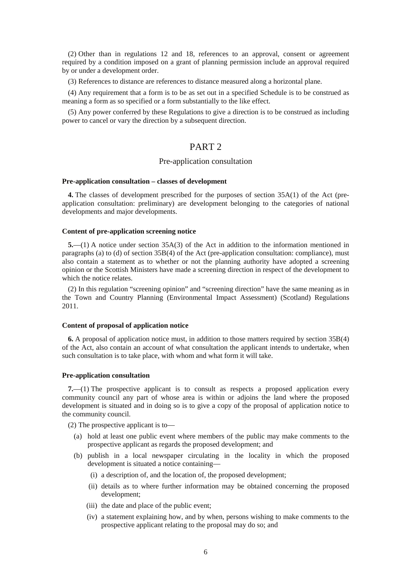(2) Other than in regulations 12 and 18, references to an approval, consent or agreement required by a condition imposed on a grant of planning permission include an approval required by or under a development order.

(3) References to distance are references to distance measured along a horizontal plane.

(4) Any requirement that a form is to be as set out in a specified Schedule is to be construed as meaning a form as so specified or a form substantially to the like effect.

(5) Any power conferred by these Regulations to give a direction is to be construed as including power to cancel or vary the direction by a subsequent direction.

### PART 2

#### Pre-application consultation

#### **Pre-application consultation – classes of development**

**4.** The classes of development prescribed for the purposes of section 35A(1) of the Act (preapplication consultation: preliminary) are development belonging to the categories of national developments and major developments.

#### **Content of pre-application screening notice**

**5.**—(1) A notice under section 35A(3) of the Act in addition to the information mentioned in paragraphs (a) to (d) of section  $35B(4)$  of the Act (pre-application consultation: compliance), must also contain a statement as to whether or not the planning authority have adopted a screening opinion or the Scottish Ministers have made a screening direction in respect of the development to which the notice relates.

(2) In this regulation "screening opinion" and "screening direction" have the same meaning as in the Town and Country Planning (Environmental Impact Assessment) (Scotland) Regulations 2011.

#### **Content of proposal of application notice**

**6.** A proposal of application notice must, in addition to those matters required by section 35B(4) of the Act, also contain an account of what consultation the applicant intends to undertake, when such consultation is to take place, with whom and what form it will take.

#### **Pre-application consultation**

**7.**—(1) The prospective applicant is to consult as respects a proposed application every community council any part of whose area is within or adjoins the land where the proposed development is situated and in doing so is to give a copy of the proposal of application notice to the community council.

(2) The prospective applicant is to—

- (a) hold at least one public event where members of the public may make comments to the prospective applicant as regards the proposed development; and
- (b) publish in a local newspaper circulating in the locality in which the proposed development is situated a notice containing—
	- (i) a description of, and the location of, the proposed development;
	- (ii) details as to where further information may be obtained concerning the proposed development;
	- (iii) the date and place of the public event;
	- (iv) a statement explaining how, and by when, persons wishing to make comments to the prospective applicant relating to the proposal may do so; and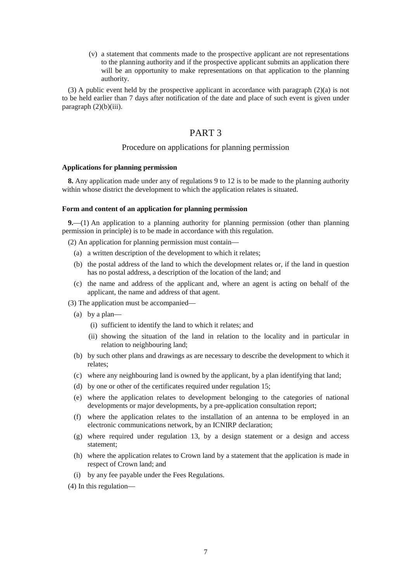(v) a statement that comments made to the prospective applicant are not representations to the planning authority and if the prospective applicant submits an application there will be an opportunity to make representations on that application to the planning authority.

(3) A public event held by the prospective applicant in accordance with paragraph (2)(a) is not to be held earlier than 7 days after notification of the date and place of such event is given under paragraph  $(2)(b)(iii)$ .

## PART 3

### Procedure on applications for planning permission

#### **Applications for planning permission**

**8.** Any application made under any of regulations 9 to 12 is to be made to the planning authority within whose district the development to which the application relates is situated.

#### **Form and content of an application for planning permission**

**9.**—(1) An application to a planning authority for planning permission (other than planning permission in principle) is to be made in accordance with this regulation.

(2) An application for planning permission must contain—

- (a) a written description of the development to which it relates;
- (b) the postal address of the land to which the development relates or, if the land in question has no postal address, a description of the location of the land; and
- (c) the name and address of the applicant and, where an agent is acting on behalf of the applicant, the name and address of that agent.
- (3) The application must be accompanied—
	- (a) by a plan—
		- (i) sufficient to identify the land to which it relates; and
		- (ii) showing the situation of the land in relation to the locality and in particular in relation to neighbouring land;
	- (b) by such other plans and drawings as are necessary to describe the development to which it relates;
	- (c) where any neighbouring land is owned by the applicant, by a plan identifying that land;
	- (d) by one or other of the certificates required under regulation 15;
	- (e) where the application relates to development belonging to the categories of national developments or major developments, by a pre-application consultation report;
	- (f) where the application relates to the installation of an antenna to be employed in an electronic communications network, by an ICNIRP declaration;
	- (g) where required under regulation 13, by a design statement or a design and access statement;
	- (h) where the application relates to Crown land by a statement that the application is made in respect of Crown land; and
	- (i) by any fee payable under the Fees Regulations.
- (4) In this regulation—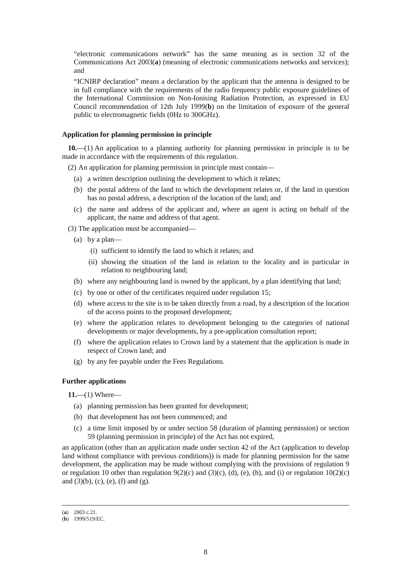"electronic communications network" has the same meaning as in section 32 of the Communications Act 2003(**a**) (meaning of electronic communications networks and services); and

"ICNIRP declaration" means a declaration by the applicant that the antenna is designed to be in full compliance with the requirements of the radio frequency public exposure guidelines of the International Commission on Non-Ionising Radiation Protection, as expressed in EU Council recommendation of 12th July 1999(**b**) on the limitation of exposure of the general public to electromagnetic fields (0Hz to 300GHz).

#### **Application for planning permission in principle**

**10.**—(1) An application to a planning authority for planning permission in principle is to be made in accordance with the requirements of this regulation.

(2) An application for planning permission in principle must contain—

- (a) a written description outlining the development to which it relates;
- (b) the postal address of the land to which the development relates or, if the land in question has no postal address, a description of the location of the land; and
- (c) the name and address of the applicant and, where an agent is acting on behalf of the applicant, the name and address of that agent.

(3) The application must be accompanied—

- (a) by a plan—
	- (i) sufficient to identify the land to which it relates; and
	- (ii) showing the situation of the land in relation to the locality and in particular in relation to neighbouring land;
- (b) where any neighbouring land is owned by the applicant, by a plan identifying that land;
- (c) by one or other of the certificates required under regulation 15;
- (d) where access to the site is to be taken directly from a road, by a description of the location of the access points to the proposed development;
- (e) where the application relates to development belonging to the categories of national developments or major developments, by a pre-application consultation report;
- (f) where the application relates to Crown land by a statement that the application is made in respect of Crown land; and
- (g) by any fee payable under the Fees Regulations.

#### **Further applications**

**11.**—(1) Where—

- (a) planning permission has been granted for development;
- (b) that development has not been commenced; and
- (c) a time limit imposed by or under section 58 (duration of planning permission) or section 59 (planning permission in principle) of the Act has not expired,

an application (other than an application made under section 42 of the Act (application to develop land without compliance with previous conditions)) is made for planning permission for the same development, the application may be made without complying with the provisions of regulation 9 or regulation 10 other than regulation  $9(2)(c)$  and  $(3)(c)$ , (d), (e), (h), and (i) or regulation 10(2)(c) and  $(3)(b)$ , (c), (e), (f) and (g).

<sup>(</sup>**a**) 2003 c.21.

<sup>(</sup>**b**) 1999/519/EC.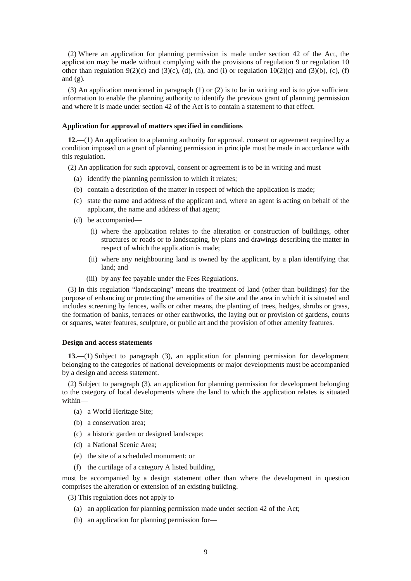(2) Where an application for planning permission is made under section 42 of the Act, the application may be made without complying with the provisions of regulation 9 or regulation 10 other than regulation  $9(2)(c)$  and  $(3)(c)$ ,  $(d)$ ,  $(h)$ , and  $(i)$  or regulation  $10(2)(c)$  and  $(3)(b)$ ,  $(c)$ ,  $(f)$ and  $(g)$ .

(3) An application mentioned in paragraph (1) or (2) is to be in writing and is to give sufficient information to enable the planning authority to identify the previous grant of planning permission and where it is made under section 42 of the Act is to contain a statement to that effect.

#### **Application for approval of matters specified in conditions**

**12.**—(1) An application to a planning authority for approval, consent or agreement required by a condition imposed on a grant of planning permission in principle must be made in accordance with this regulation.

(2) An application for such approval, consent or agreement is to be in writing and must—

- (a) identify the planning permission to which it relates;
- (b) contain a description of the matter in respect of which the application is made;
- (c) state the name and address of the applicant and, where an agent is acting on behalf of the applicant, the name and address of that agent;
- (d) be accompanied—
	- (i) where the application relates to the alteration or construction of buildings, other structures or roads or to landscaping, by plans and drawings describing the matter in respect of which the application is made;
	- (ii) where any neighbouring land is owned by the applicant, by a plan identifying that land; and
	- (iii) by any fee payable under the Fees Regulations.

(3) In this regulation "landscaping" means the treatment of land (other than buildings) for the purpose of enhancing or protecting the amenities of the site and the area in which it is situated and includes screening by fences, walls or other means, the planting of trees, hedges, shrubs or grass, the formation of banks, terraces or other earthworks, the laying out or provision of gardens, courts or squares, water features, sculpture, or public art and the provision of other amenity features.

#### **Design and access statements**

**13.**—(1) Subject to paragraph (3), an application for planning permission for development belonging to the categories of national developments or major developments must be accompanied by a design and access statement.

(2) Subject to paragraph (3), an application for planning permission for development belonging to the category of local developments where the land to which the application relates is situated within—

- (a) a World Heritage Site;
- (b) a conservation area;
- (c) a historic garden or designed landscape;
- (d) a National Scenic Area;
- (e) the site of a scheduled monument; or
- (f) the curtilage of a category A listed building,

must be accompanied by a design statement other than where the development in question comprises the alteration or extension of an existing building.

(3) This regulation does not apply to—

- (a) an application for planning permission made under section 42 of the Act;
- (b) an application for planning permission for—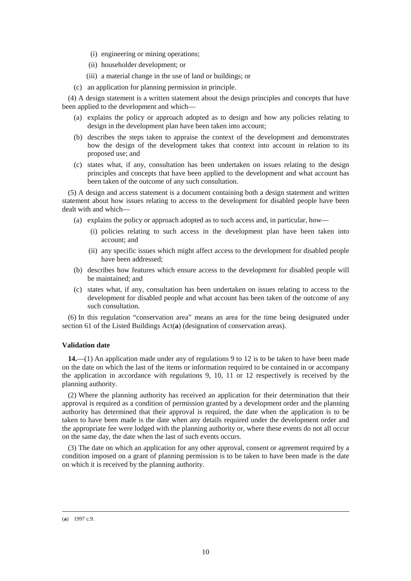- (i) engineering or mining operations;
- (ii) householder development; or
- (iii) a material change in the use of land or buildings; or
- (c) an application for planning permission in principle.

(4) A design statement is a written statement about the design principles and concepts that have been applied to the development and which—

- (a) explains the policy or approach adopted as to design and how any policies relating to design in the development plan have been taken into account;
- (b) describes the steps taken to appraise the context of the development and demonstrates how the design of the development takes that context into account in relation to its proposed use; and
- (c) states what, if any, consultation has been undertaken on issues relating to the design principles and concepts that have been applied to the development and what account has been taken of the outcome of any such consultation.

(5) A design and access statement is a document containing both a design statement and written statement about how issues relating to access to the development for disabled people have been dealt with and which—

- (a) explains the policy or approach adopted as to such access and, in particular, how—
	- (i) policies relating to such access in the development plan have been taken into account; and
	- (ii) any specific issues which might affect access to the development for disabled people have been addressed;
- (b) describes how features which ensure access to the development for disabled people will be maintained; and
- (c) states what, if any, consultation has been undertaken on issues relating to access to the development for disabled people and what account has been taken of the outcome of any such consultation.

(6) In this regulation "conservation area" means an area for the time being designated under section 61 of the Listed Buildings Act(**a**) (designation of conservation areas).

### **Validation date**

**14.**—(1) An application made under any of regulations 9 to 12 is to be taken to have been made on the date on which the last of the items or information required to be contained in or accompany the application in accordance with regulations 9, 10, 11 or 12 respectively is received by the planning authority.

(2) Where the planning authority has received an application for their determination that their approval is required as a condition of permission granted by a development order and the planning authority has determined that their approval is required, the date when the application is to be taken to have been made is the date when any details required under the development order and the appropriate fee were lodged with the planning authority or, where these events do not all occur on the same day, the date when the last of such events occurs.

(3) The date on which an application for any other approval, consent or agreement required by a condition imposed on a grant of planning permission is to be taken to have been made is the date on which it is received by the planning authority.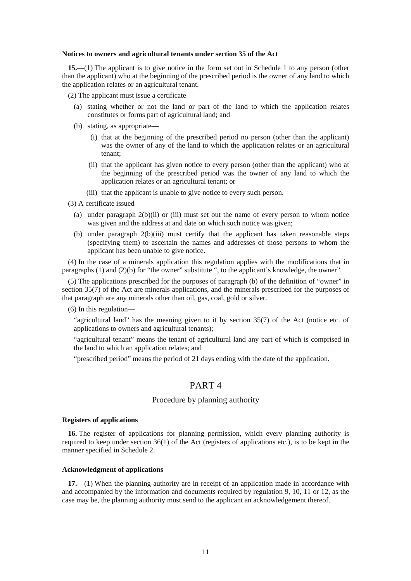#### **Notices to owners and agricultural tenants under section 35 of the Act**

**15.**—(1) The applicant is to give notice in the form set out in Schedule 1 to any person (other than the applicant) who at the beginning of the prescribed period is the owner of any land to which the application relates or an agricultural tenant.

(2) The applicant must issue a certificate—

- (a) stating whether or not the land or part of the land to which the application relates constitutes or forms part of agricultural land; and
- (b) stating, as appropriate—
	- (i) that at the beginning of the prescribed period no person (other than the applicant) was the owner of any of the land to which the application relates or an agricultural tenant;
	- (ii) that the applicant has given notice to every person (other than the applicant) who at the beginning of the prescribed period was the owner of any land to which the application relates or an agricultural tenant; or
	- (iii) that the applicant is unable to give notice to every such person.
- (3) A certificate issued—
	- (a) under paragraph 2(b)(ii) or (iii) must set out the name of every person to whom notice was given and the address at and date on which such notice was given;
	- (b) under paragraph 2(b)(iii) must certify that the applicant has taken reasonable steps (specifying them) to ascertain the names and addresses of those persons to whom the applicant has been unable to give notice.

(4) In the case of a minerals application this regulation applies with the modifications that in paragraphs (1) and (2)(b) for "the owner" substitute ", to the applicant's knowledge, the owner".

(5) The applications prescribed for the purposes of paragraph (b) of the definition of "owner" in section 35(7) of the Act are minerals applications, and the minerals prescribed for the purposes of that paragraph are any minerals other than oil, gas, coal, gold or silver.

(6) In this regulation—

"agricultural land" has the meaning given to it by section 35(7) of the Act (notice etc. of applications to owners and agricultural tenants);

"agricultural tenant" means the tenant of agricultural land any part of which is comprised in the land to which an application relates; and

"prescribed period" means the period of 21 days ending with the date of the application.

## PART 4

### Procedure by planning authority

#### **Registers of applications**

**16.** The register of applications for planning permission, which every planning authority is required to keep under section 36(1) of the Act (registers of applications etc.), is to be kept in the manner specified in Schedule 2.

#### **Acknowledgment of applications**

**17.**—(1) When the planning authority are in receipt of an application made in accordance with and accompanied by the information and documents required by regulation 9, 10, 11 or 12, as the case may be, the planning authority must send to the applicant an acknowledgement thereof.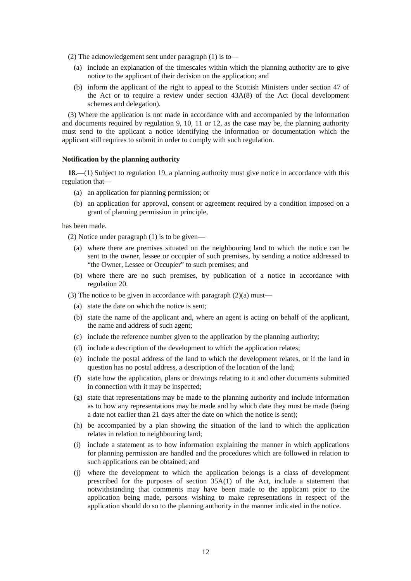(2) The acknowledgement sent under paragraph (1) is to—

- (a) include an explanation of the timescales within which the planning authority are to give notice to the applicant of their decision on the application; and
- (b) inform the applicant of the right to appeal to the Scottish Ministers under section 47 of the Act or to require a review under section 43A(8) of the Act (local development schemes and delegation).

(3) Where the application is not made in accordance with and accompanied by the information and documents required by regulation 9, 10, 11 or 12, as the case may be, the planning authority must send to the applicant a notice identifying the information or documentation which the applicant still requires to submit in order to comply with such regulation.

#### **Notification by the planning authority**

**18.**—(1) Subject to regulation 19, a planning authority must give notice in accordance with this regulation that—

- (a) an application for planning permission; or
- (b) an application for approval, consent or agreement required by a condition imposed on a grant of planning permission in principle,

has been made.

(2) Notice under paragraph (1) is to be given—

- (a) where there are premises situated on the neighbouring land to which the notice can be sent to the owner, lessee or occupier of such premises, by sending a notice addressed to "the Owner, Lessee or Occupier" to such premises; and
- (b) where there are no such premises, by publication of a notice in accordance with regulation 20.
- (3) The notice to be given in accordance with paragraph  $(2)(a)$  must—
	- (a) state the date on which the notice is sent;
	- (b) state the name of the applicant and, where an agent is acting on behalf of the applicant, the name and address of such agent;
	- (c) include the reference number given to the application by the planning authority;
	- (d) include a description of the development to which the application relates;
	- (e) include the postal address of the land to which the development relates, or if the land in question has no postal address, a description of the location of the land;
	- (f) state how the application, plans or drawings relating to it and other documents submitted in connection with it may be inspected;
	- (g) state that representations may be made to the planning authority and include information as to how any representations may be made and by which date they must be made (being a date not earlier than 21 days after the date on which the notice is sent);
	- (h) be accompanied by a plan showing the situation of the land to which the application relates in relation to neighbouring land;
	- (i) include a statement as to how information explaining the manner in which applications for planning permission are handled and the procedures which are followed in relation to such applications can be obtained; and
	- (j) where the development to which the application belongs is a class of development prescribed for the purposes of section 35A(1) of the Act, include a statement that notwithstanding that comments may have been made to the applicant prior to the application being made, persons wishing to make representations in respect of the application should do so to the planning authority in the manner indicated in the notice.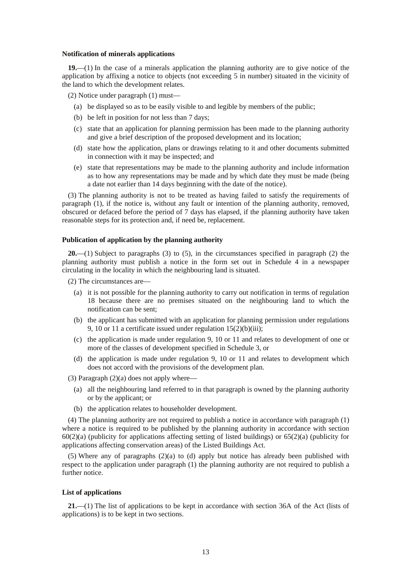#### **Notification of minerals applications**

**19.**—(1) In the case of a minerals application the planning authority are to give notice of the application by affixing a notice to objects (not exceeding 5 in number) situated in the vicinity of the land to which the development relates.

(2) Notice under paragraph (1) must—

- (a) be displayed so as to be easily visible to and legible by members of the public;
- (b) be left in position for not less than 7 days;
- (c) state that an application for planning permission has been made to the planning authority and give a brief description of the proposed development and its location;
- (d) state how the application, plans or drawings relating to it and other documents submitted in connection with it may be inspected; and
- (e) state that representations may be made to the planning authority and include information as to how any representations may be made and by which date they must be made (being a date not earlier than 14 days beginning with the date of the notice).

(3) The planning authority is not to be treated as having failed to satisfy the requirements of paragraph (1), if the notice is, without any fault or intention of the planning authority, removed, obscured or defaced before the period of 7 days has elapsed, if the planning authority have taken reasonable steps for its protection and, if need be, replacement.

#### **Publication of application by the planning authority**

**20.**—(1) Subject to paragraphs (3) to (5), in the circumstances specified in paragraph (2) the planning authority must publish a notice in the form set out in Schedule 4 in a newspaper circulating in the locality in which the neighbouring land is situated.

(2) The circumstances are—

- (a) it is not possible for the planning authority to carry out notification in terms of regulation 18 because there are no premises situated on the neighbouring land to which the notification can be sent;
- (b) the applicant has submitted with an application for planning permission under regulations 9, 10 or 11 a certificate issued under regulation  $15(2)(b)(iii)$ ;
- (c) the application is made under regulation 9, 10 or 11 and relates to development of one or more of the classes of development specified in Schedule 3, or
- (d) the application is made under regulation 9, 10 or 11 and relates to development which does not accord with the provisions of the development plan.

(3) Paragraph (2)(a) does not apply where—

- (a) all the neighbouring land referred to in that paragraph is owned by the planning authority or by the applicant; or
- (b) the application relates to householder development.

(4) The planning authority are not required to publish a notice in accordance with paragraph (1) where a notice is required to be published by the planning authority in accordance with section  $60(2)(a)$  (publicity for applications affecting setting of listed buildings) or  $65(2)(a)$  (publicity for applications affecting conservation areas) of the Listed Buildings Act.

(5) Where any of paragraphs  $(2)(a)$  to (d) apply but notice has already been published with respect to the application under paragraph (1) the planning authority are not required to publish a further notice.

#### **List of applications**

**21.**—(1) The list of applications to be kept in accordance with section 36A of the Act (lists of applications) is to be kept in two sections.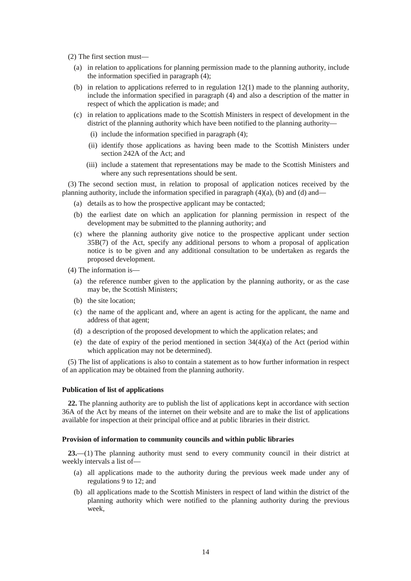- (2) The first section must—
	- (a) in relation to applications for planning permission made to the planning authority, include the information specified in paragraph (4);
	- (b) in relation to applications referred to in regulation 12(1) made to the planning authority, include the information specified in paragraph (4) and also a description of the matter in respect of which the application is made; and
	- (c) in relation to applications made to the Scottish Ministers in respect of development in the district of the planning authority which have been notified to the planning authority—
		- (i) include the information specified in paragraph (4);
		- (ii) identify those applications as having been made to the Scottish Ministers under section 242A of the Act; and
		- (iii) include a statement that representations may be made to the Scottish Ministers and where any such representations should be sent.

(3) The second section must, in relation to proposal of application notices received by the planning authority, include the information specified in paragraph  $(4)(a)$ ,  $(b)$  and  $(d)$  and—

- (a) details as to how the prospective applicant may be contacted;
- (b) the earliest date on which an application for planning permission in respect of the development may be submitted to the planning authority; and
- (c) where the planning authority give notice to the prospective applicant under section 35B(7) of the Act, specify any additional persons to whom a proposal of application notice is to be given and any additional consultation to be undertaken as regards the proposed development.

(4) The information is—

- (a) the reference number given to the application by the planning authority, or as the case may be, the Scottish Ministers;
- (b) the site location;
- (c) the name of the applicant and, where an agent is acting for the applicant, the name and address of that agent;
- (d) a description of the proposed development to which the application relates; and
- (e) the date of expiry of the period mentioned in section  $34(4)(a)$  of the Act (period within which application may not be determined).

(5) The list of applications is also to contain a statement as to how further information in respect of an application may be obtained from the planning authority.

#### **Publication of list of applications**

**22.** The planning authority are to publish the list of applications kept in accordance with section 36A of the Act by means of the internet on their website and are to make the list of applications available for inspection at their principal office and at public libraries in their district.

#### **Provision of information to community councils and within public libraries**

**23.**—(1) The planning authority must send to every community council in their district at weekly intervals a list of—

- (a) all applications made to the authority during the previous week made under any of regulations 9 to 12; and
- (b) all applications made to the Scottish Ministers in respect of land within the district of the planning authority which were notified to the planning authority during the previous week,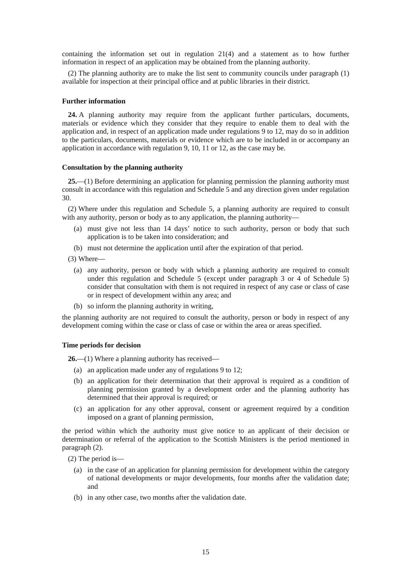containing the information set out in regulation 21(4) and a statement as to how further information in respect of an application may be obtained from the planning authority.

(2) The planning authority are to make the list sent to community councils under paragraph (1) available for inspection at their principal office and at public libraries in their district.

#### **Further information**

**24.** A planning authority may require from the applicant further particulars, documents, materials or evidence which they consider that they require to enable them to deal with the application and, in respect of an application made under regulations 9 to 12, may do so in addition to the particulars, documents, materials or evidence which are to be included in or accompany an application in accordance with regulation 9, 10, 11 or 12, as the case may be.

#### **Consultation by the planning authority**

**25.**—(1) Before determining an application for planning permission the planning authority must consult in accordance with this regulation and Schedule 5 and any direction given under regulation 30.

(2) Where under this regulation and Schedule 5, a planning authority are required to consult with any authority, person or body as to any application, the planning authority—

- (a) must give not less than 14 days' notice to such authority, person or body that such application is to be taken into consideration; and
- (b) must not determine the application until after the expiration of that period.

(3) Where—

- (a) any authority, person or body with which a planning authority are required to consult under this regulation and Schedule 5 (except under paragraph 3 or 4 of Schedule 5) consider that consultation with them is not required in respect of any case or class of case or in respect of development within any area; and
- (b) so inform the planning authority in writing,

the planning authority are not required to consult the authority, person or body in respect of any development coming within the case or class of case or within the area or areas specified.

#### **Time periods for decision**

**26.**—(1) Where a planning authority has received—

- (a) an application made under any of regulations 9 to 12;
- (b) an application for their determination that their approval is required as a condition of planning permission granted by a development order and the planning authority has determined that their approval is required; or
- (c) an application for any other approval, consent or agreement required by a condition imposed on a grant of planning permission,

the period within which the authority must give notice to an applicant of their decision or determination or referral of the application to the Scottish Ministers is the period mentioned in paragraph (2).

(2) The period is—

- (a) in the case of an application for planning permission for development within the category of national developments or major developments, four months after the validation date; and
- (b) in any other case, two months after the validation date.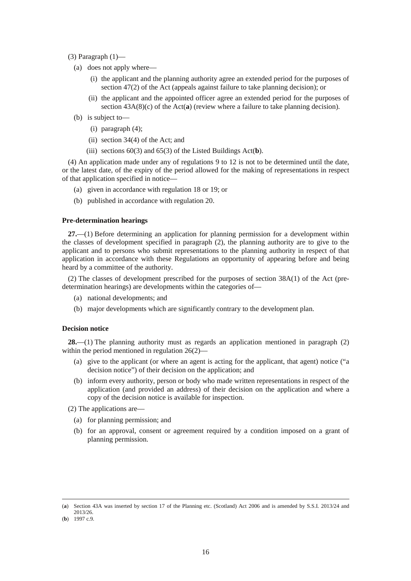- (3) Paragraph  $(1)$ 
	- (a) does not apply where—
		- (i) the applicant and the planning authority agree an extended period for the purposes of section 47(2) of the Act (appeals against failure to take planning decision); or
		- (ii) the applicant and the appointed officer agree an extended period for the purposes of section 43A(8)(c) of the Act(**a**) (review where a failure to take planning decision).
	- (b) is subject to—
		- (i) paragraph (4);
		- (ii) section 34(4) of the Act; and
		- (iii) sections 60(3) and 65(3) of the Listed Buildings Act(**b**).

(4) An application made under any of regulations 9 to 12 is not to be determined until the date, or the latest date, of the expiry of the period allowed for the making of representations in respect of that application specified in notice—

- (a) given in accordance with regulation 18 or 19; or
- (b) published in accordance with regulation 20.

#### **Pre-determination hearings**

**27.**—(1) Before determining an application for planning permission for a development within the classes of development specified in paragraph (2), the planning authority are to give to the applicant and to persons who submit representations to the planning authority in respect of that application in accordance with these Regulations an opportunity of appearing before and being heard by a committee of the authority.

(2) The classes of development prescribed for the purposes of section 38A(1) of the Act (predetermination hearings) are developments within the categories of—

- (a) national developments; and
- (b) major developments which are significantly contrary to the development plan.

### **Decision notice**

**28.**—(1) The planning authority must as regards an application mentioned in paragraph (2) within the period mentioned in regulation  $26(2)$ —

- (a) give to the applicant (or where an agent is acting for the applicant, that agent) notice ("a decision notice") of their decision on the application; and
- (b) inform every authority, person or body who made written representations in respect of the application (and provided an address) of their decision on the application and where a copy of the decision notice is available for inspection.

(2) The applications are—

- (a) for planning permission; and
- (b) for an approval, consent or agreement required by a condition imposed on a grant of planning permission.

<sup>(</sup>**a**) Section 43A was inserted by section 17 of the Planning etc. (Scotland) Act 2006 and is amended by S.S.I. 2013/24 and 2013/26.

<sup>(</sup>**b**) 1997 c.9.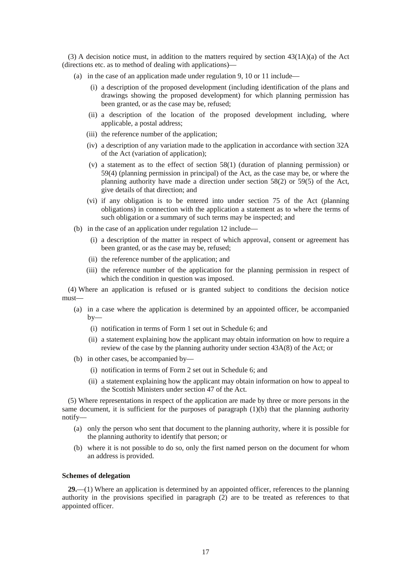(3) A decision notice must, in addition to the matters required by section  $43(1A)(a)$  of the Act (directions etc. as to method of dealing with applications)—

- (a) in the case of an application made under regulation 9, 10 or 11 include—
	- (i) a description of the proposed development (including identification of the plans and drawings showing the proposed development) for which planning permission has been granted, or as the case may be, refused;
	- (ii) a description of the location of the proposed development including, where applicable, a postal address;
	- (iii) the reference number of the application;
	- (iv) a description of any variation made to the application in accordance with section 32A of the Act (variation of application);
	- (v) a statement as to the effect of section 58(1) (duration of planning permission) or 59(4) (planning permission in principal) of the Act, as the case may be, or where the planning authority have made a direction under section 58(2) or 59(5) of the Act, give details of that direction; and
	- (vi) if any obligation is to be entered into under section 75 of the Act (planning obligations) in connection with the application a statement as to where the terms of such obligation or a summary of such terms may be inspected; and
- (b) in the case of an application under regulation 12 include—
	- (i) a description of the matter in respect of which approval, consent or agreement has been granted, or as the case may be, refused;
	- (ii) the reference number of the application; and
	- (iii) the reference number of the application for the planning permission in respect of which the condition in question was imposed.

(4) Where an application is refused or is granted subject to conditions the decision notice must—

- (a) in a case where the application is determined by an appointed officer, be accompanied  $by-$ 
	- (i) notification in terms of Form 1 set out in Schedule 6; and
	- (ii) a statement explaining how the applicant may obtain information on how to require a review of the case by the planning authority under section 43A(8) of the Act; or
- (b) in other cases, be accompanied by—
	- (i) notification in terms of Form 2 set out in Schedule 6; and
	- (ii) a statement explaining how the applicant may obtain information on how to appeal to the Scottish Ministers under section 47 of the Act.

(5) Where representations in respect of the application are made by three or more persons in the same document, it is sufficient for the purposes of paragraph  $(1)(b)$  that the planning authority notify—

- (a) only the person who sent that document to the planning authority, where it is possible for the planning authority to identify that person; or
- (b) where it is not possible to do so, only the first named person on the document for whom an address is provided.

#### **Schemes of delegation**

**29.**—(1) Where an application is determined by an appointed officer, references to the planning authority in the provisions specified in paragraph (2) are to be treated as references to that appointed officer.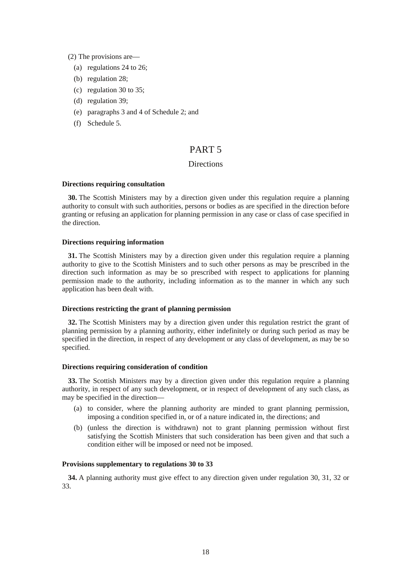(2) The provisions are—

- (a) regulations 24 to 26;
- (b) regulation 28;
- (c) regulation 30 to 35;
- (d) regulation 39;
- (e) paragraphs 3 and 4 of Schedule 2; and
- (f) Schedule 5.

## PART 5

### **Directions**

#### **Directions requiring consultation**

**30.** The Scottish Ministers may by a direction given under this regulation require a planning authority to consult with such authorities, persons or bodies as are specified in the direction before granting or refusing an application for planning permission in any case or class of case specified in the direction.

#### **Directions requiring information**

**31.** The Scottish Ministers may by a direction given under this regulation require a planning authority to give to the Scottish Ministers and to such other persons as may be prescribed in the direction such information as may be so prescribed with respect to applications for planning permission made to the authority, including information as to the manner in which any such application has been dealt with.

#### **Directions restricting the grant of planning permission**

**32.** The Scottish Ministers may by a direction given under this regulation restrict the grant of planning permission by a planning authority, either indefinitely or during such period as may be specified in the direction, in respect of any development or any class of development, as may be so specified.

#### **Directions requiring consideration of condition**

**33.** The Scottish Ministers may by a direction given under this regulation require a planning authority, in respect of any such development, or in respect of development of any such class, as may be specified in the direction—

- (a) to consider, where the planning authority are minded to grant planning permission, imposing a condition specified in, or of a nature indicated in, the directions; and
- (b) (unless the direction is withdrawn) not to grant planning permission without first satisfying the Scottish Ministers that such consideration has been given and that such a condition either will be imposed or need not be imposed.

#### **Provisions supplementary to regulations 30 to 33**

**34.** A planning authority must give effect to any direction given under regulation 30, 31, 32 or 33.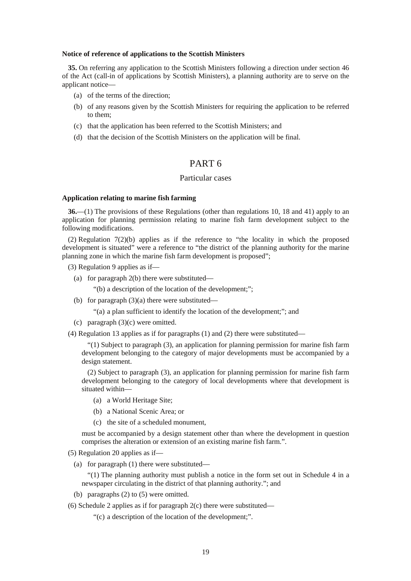#### **Notice of reference of applications to the Scottish Ministers**

**35.** On referring any application to the Scottish Ministers following a direction under section 46 of the Act (call-in of applications by Scottish Ministers), a planning authority are to serve on the applicant notice—

- (a) of the terms of the direction;
- (b) of any reasons given by the Scottish Ministers for requiring the application to be referred to them;
- (c) that the application has been referred to the Scottish Ministers; and
- (d) that the decision of the Scottish Ministers on the application will be final.

## PART 6

## Particular cases

#### **Application relating to marine fish farming**

**36.**—(1) The provisions of these Regulations (other than regulations 10, 18 and 41) apply to an application for planning permission relating to marine fish farm development subject to the following modifications.

(2) Regulation 7(2)(b) applies as if the reference to "the locality in which the proposed development is situated" were a reference to "the district of the planning authority for the marine planning zone in which the marine fish farm development is proposed";

(3) Regulation 9 applies as if—

(a) for paragraph 2(b) there were substituted—

"(b) a description of the location of the development;";

(b) for paragraph  $(3)(a)$  there were substituted—

"(a) a plan sufficient to identify the location of the development;"; and

(c) paragraph (3)(c) were omitted.

(4) Regulation 13 applies as if for paragraphs (1) and (2) there were substituted—

"(1) Subject to paragraph (3), an application for planning permission for marine fish farm development belonging to the category of major developments must be accompanied by a design statement.

(2) Subject to paragraph (3), an application for planning permission for marine fish farm development belonging to the category of local developments where that development is situated within—

- (a) a World Heritage Site;
- (b) a National Scenic Area; or
- (c) the site of a scheduled monument,

must be accompanied by a design statement other than where the development in question comprises the alteration or extension of an existing marine fish farm.".

(5) Regulation 20 applies as if—

(a) for paragraph (1) there were substituted—

"(1) The planning authority must publish a notice in the form set out in Schedule 4 in a newspaper circulating in the district of that planning authority."; and

(b) paragraphs (2) to (5) were omitted.

(6) Schedule 2 applies as if for paragraph  $2(c)$  there were substituted—

"(c) a description of the location of the development;".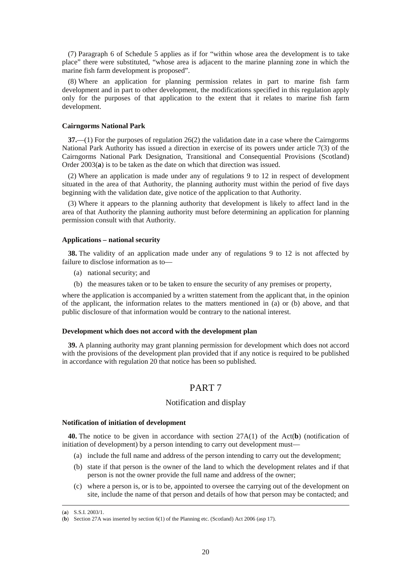(7) Paragraph 6 of Schedule 5 applies as if for "within whose area the development is to take place" there were substituted, "whose area is adjacent to the marine planning zone in which the marine fish farm development is proposed".

(8) Where an application for planning permission relates in part to marine fish farm development and in part to other development, the modifications specified in this regulation apply only for the purposes of that application to the extent that it relates to marine fish farm development.

#### **Cairngorms National Park**

**37.**—(1) For the purposes of regulation 26(2) the validation date in a case where the Cairngorms National Park Authority has issued a direction in exercise of its powers under article 7(3) of the Cairngorms National Park Designation, Transitional and Consequential Provisions (Scotland) Order 2003(**a**) is to be taken as the date on which that direction was issued.

(2) Where an application is made under any of regulations 9 to 12 in respect of development situated in the area of that Authority, the planning authority must within the period of five days beginning with the validation date, give notice of the application to that Authority.

(3) Where it appears to the planning authority that development is likely to affect land in the area of that Authority the planning authority must before determining an application for planning permission consult with that Authority.

#### **Applications – national security**

**38.** The validity of an application made under any of regulations 9 to 12 is not affected by failure to disclose information as to—

- (a) national security; and
- (b) the measures taken or to be taken to ensure the security of any premises or property,

where the application is accompanied by a written statement from the applicant that, in the opinion of the applicant, the information relates to the matters mentioned in (a) or (b) above, and that public disclosure of that information would be contrary to the national interest.

#### **Development which does not accord with the development plan**

**39.** A planning authority may grant planning permission for development which does not accord with the provisions of the development plan provided that if any notice is required to be published in accordance with regulation 20 that notice has been so published.

### PART 7

#### Notification and display

#### **Notification of initiation of development**

**40.** The notice to be given in accordance with section 27A(1) of the Act(**b**) (notification of initiation of development) by a person intending to carry out development must—

- (a) include the full name and address of the person intending to carry out the development;
- (b) state if that person is the owner of the land to which the development relates and if that person is not the owner provide the full name and address of the owner;
- (c) where a person is, or is to be, appointed to oversee the carrying out of the development on site, include the name of that person and details of how that person may be contacted; and

<sup>(</sup>**a**) S.S.I. 2003/1.

<sup>(</sup>**b**) Section 27A was inserted by section 6(1) of the Planning etc. (Scotland) Act 2006 (asp 17).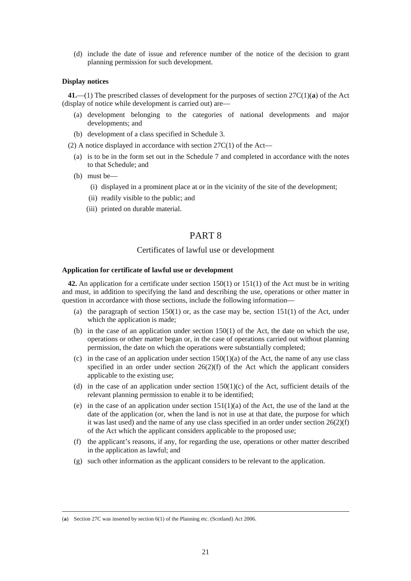(d) include the date of issue and reference number of the notice of the decision to grant planning permission for such development.

#### **Display notices**

**41.**—(1) The prescribed classes of development for the purposes of section 27C(1)(**a**) of the Act (display of notice while development is carried out) are—

- (a) development belonging to the categories of national developments and major developments; and
- (b) development of a class specified in Schedule 3.

(2) A notice displayed in accordance with section 27C(1) of the Act—

- (a) is to be in the form set out in the Schedule 7 and completed in accordance with the notes to that Schedule; and
- (b) must be—
	- (i) displayed in a prominent place at or in the vicinity of the site of the development;
	- (ii) readily visible to the public; and
	- (iii) printed on durable material.

## PART 8

#### Certificates of lawful use or development

#### **Application for certificate of lawful use or development**

**42.** An application for a certificate under section 150(1) or 151(1) of the Act must be in writing and must, in addition to specifying the land and describing the use, operations or other matter in question in accordance with those sections, include the following information—

- (a) the paragraph of section  $150(1)$  or, as the case may be, section  $151(1)$  of the Act, under which the application is made;
- (b) in the case of an application under section 150(1) of the Act, the date on which the use, operations or other matter began or, in the case of operations carried out without planning permission, the date on which the operations were substantially completed;
- (c) in the case of an application under section  $150(1)(a)$  of the Act, the name of any use class specified in an order under section  $26(2)(f)$  of the Act which the applicant considers applicable to the existing use;
- (d) in the case of an application under section  $150(1)(c)$  of the Act, sufficient details of the relevant planning permission to enable it to be identified;
- (e) in the case of an application under section  $151(1)(a)$  of the Act, the use of the land at the date of the application (or, when the land is not in use at that date, the purpose for which it was last used) and the name of any use class specified in an order under section  $26(2)(f)$ of the Act which the applicant considers applicable to the proposed use;
- (f) the applicant's reasons, if any, for regarding the use, operations or other matter described in the application as lawful; and
- (g) such other information as the applicant considers to be relevant to the application.

<sup>(</sup>**a**) Section 27C was inserted by section 6(1) of the Planning etc. (Scotland) Act 2006.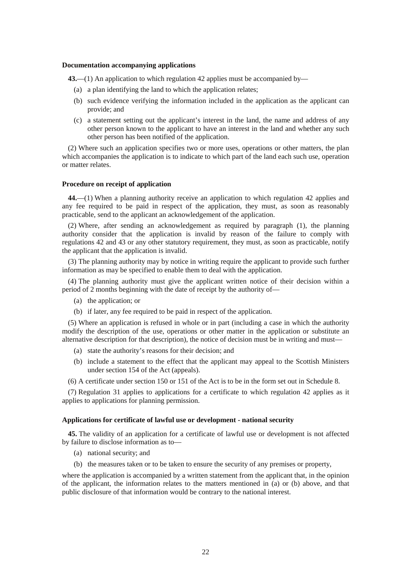#### **Documentation accompanying applications**

**43.**—(1) An application to which regulation 42 applies must be accompanied by—

- (a) a plan identifying the land to which the application relates;
- (b) such evidence verifying the information included in the application as the applicant can provide; and
- (c) a statement setting out the applicant's interest in the land, the name and address of any other person known to the applicant to have an interest in the land and whether any such other person has been notified of the application.

(2) Where such an application specifies two or more uses, operations or other matters, the plan which accompanies the application is to indicate to which part of the land each such use, operation or matter relates.

#### **Procedure on receipt of application**

**44.**—(1) When a planning authority receive an application to which regulation 42 applies and any fee required to be paid in respect of the application, they must, as soon as reasonably practicable, send to the applicant an acknowledgement of the application.

(2) Where, after sending an acknowledgement as required by paragraph (1), the planning authority consider that the application is invalid by reason of the failure to comply with regulations 42 and 43 or any other statutory requirement, they must, as soon as practicable, notify the applicant that the application is invalid.

(3) The planning authority may by notice in writing require the applicant to provide such further information as may be specified to enable them to deal with the application.

(4) The planning authority must give the applicant written notice of their decision within a period of 2 months beginning with the date of receipt by the authority of—

- (a) the application; or
- (b) if later, any fee required to be paid in respect of the application.

(5) Where an application is refused in whole or in part (including a case in which the authority modify the description of the use, operations or other matter in the application or substitute an alternative description for that description), the notice of decision must be in writing and must—

- (a) state the authority's reasons for their decision; and
- (b) include a statement to the effect that the applicant may appeal to the Scottish Ministers under section 154 of the Act (appeals).
- (6) A certificate under section 150 or 151 of the Act is to be in the form set out in Schedule 8.

(7) Regulation 31 applies to applications for a certificate to which regulation 42 applies as it applies to applications for planning permission.

#### **Applications for certificate of lawful use or development - national security**

**45.** The validity of an application for a certificate of lawful use or development is not affected by failure to disclose information as to—

- (a) national security; and
- (b) the measures taken or to be taken to ensure the security of any premises or property,

where the application is accompanied by a written statement from the applicant that, in the opinion of the applicant, the information relates to the matters mentioned in (a) or (b) above, and that public disclosure of that information would be contrary to the national interest.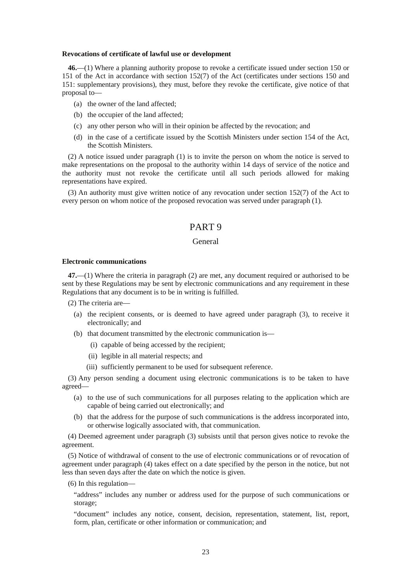#### **Revocations of certificate of lawful use or development**

**46.**—(1) Where a planning authority propose to revoke a certificate issued under section 150 or 151 of the Act in accordance with section 152(7) of the Act (certificates under sections 150 and 151: supplementary provisions), they must, before they revoke the certificate, give notice of that proposal to—

- (a) the owner of the land affected;
- (b) the occupier of the land affected;
- (c) any other person who will in their opinion be affected by the revocation; and
- (d) in the case of a certificate issued by the Scottish Ministers under section 154 of the Act, the Scottish Ministers.

(2) A notice issued under paragraph (1) is to invite the person on whom the notice is served to make representations on the proposal to the authority within 14 days of service of the notice and the authority must not revoke the certificate until all such periods allowed for making representations have expired.

(3) An authority must give written notice of any revocation under section 152(7) of the Act to every person on whom notice of the proposed revocation was served under paragraph (1).

## PART 9

## General

#### **Electronic communications**

**47.**—(1) Where the criteria in paragraph (2) are met, any document required or authorised to be sent by these Regulations may be sent by electronic communications and any requirement in these Regulations that any document is to be in writing is fulfilled.

(2) The criteria are—

- (a) the recipient consents, or is deemed to have agreed under paragraph (3), to receive it electronically; and
- (b) that document transmitted by the electronic communication is—
	- (i) capable of being accessed by the recipient;
	- (ii) legible in all material respects; and
	- (iii) sufficiently permanent to be used for subsequent reference.

(3) Any person sending a document using electronic communications is to be taken to have agreed—

- (a) to the use of such communications for all purposes relating to the application which are capable of being carried out electronically; and
- (b) that the address for the purpose of such communications is the address incorporated into, or otherwise logically associated with, that communication.

(4) Deemed agreement under paragraph (3) subsists until that person gives notice to revoke the agreement.

(5) Notice of withdrawal of consent to the use of electronic communications or of revocation of agreement under paragraph (4) takes effect on a date specified by the person in the notice, but not less than seven days after the date on which the notice is given.

(6) In this regulation—

"address" includes any number or address used for the purpose of such communications or storage;

"document" includes any notice, consent, decision, representation, statement, list, report, form, plan, certificate or other information or communication; and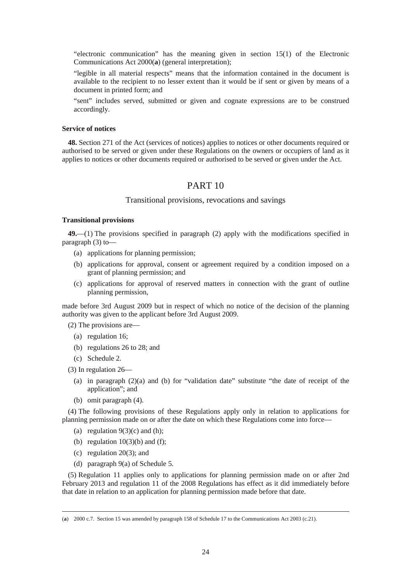"electronic communication" has the meaning given in section 15(1) of the Electronic Communications Act 2000(**a**) (general interpretation);

"legible in all material respects" means that the information contained in the document is available to the recipient to no lesser extent than it would be if sent or given by means of a document in printed form; and

"sent" includes served, submitted or given and cognate expressions are to be construed accordingly.

### **Service of notices**

**48.** Section 271 of the Act (services of notices) applies to notices or other documents required or authorised to be served or given under these Regulations on the owners or occupiers of land as it applies to notices or other documents required or authorised to be served or given under the Act.

## PART 10

#### Transitional provisions, revocations and savings

#### **Transitional provisions**

**49.**—(1) The provisions specified in paragraph (2) apply with the modifications specified in paragraph (3) to—

- (a) applications for planning permission;
- (b) applications for approval, consent or agreement required by a condition imposed on a grant of planning permission; and
- (c) applications for approval of reserved matters in connection with the grant of outline planning permission,

made before 3rd August 2009 but in respect of which no notice of the decision of the planning authority was given to the applicant before 3rd August 2009.

(2) The provisions are—

- (a) regulation 16;
- (b) regulations 26 to 28; and
- (c) Schedule 2.

(3) In regulation 26—

- (a) in paragraph (2)(a) and (b) for "validation date" substitute "the date of receipt of the application"; and
- (b) omit paragraph (4).

(4) The following provisions of these Regulations apply only in relation to applications for planning permission made on or after the date on which these Regulations come into force—

- (a) regulation  $9(3)(c)$  and (h);
- (b) regulation  $10(3)(b)$  and (f);
- (c) regulation 20(3); and

<u>.</u>

(d) paragraph 9(a) of Schedule 5.

(5) Regulation 11 applies only to applications for planning permission made on or after 2nd February 2013 and regulation 11 of the 2008 Regulations has effect as it did immediately before that date in relation to an application for planning permission made before that date.

<sup>(</sup>**a**) 2000 c.7. Section 15 was amended by paragraph 158 of Schedule 17 to the Communications Act 2003 (c.21).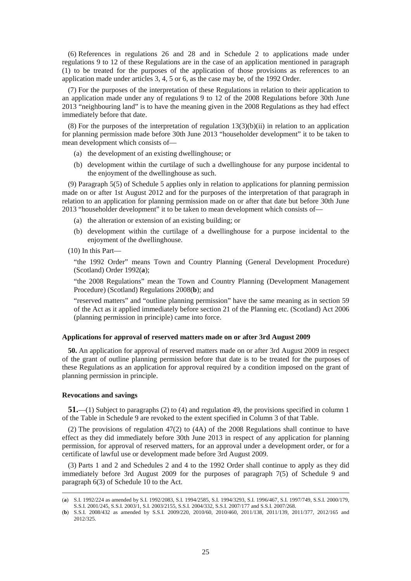(6) References in regulations 26 and 28 and in Schedule 2 to applications made under regulations 9 to 12 of these Regulations are in the case of an application mentioned in paragraph (1) to be treated for the purposes of the application of those provisions as references to an application made under articles 3, 4, 5 or 6, as the case may be, of the 1992 Order.

(7) For the purposes of the interpretation of these Regulations in relation to their application to an application made under any of regulations 9 to 12 of the 2008 Regulations before 30th June 2013 "neighbouring land" is to have the meaning given in the 2008 Regulations as they had effect immediately before that date.

(8) For the purposes of the interpretation of regulation 13(3)(b)(ii) in relation to an application for planning permission made before 30th June 2013 "householder development" it to be taken to mean development which consists of—

- (a) the development of an existing dwellinghouse; or
- (b) development within the curtilage of such a dwellinghouse for any purpose incidental to the enjoyment of the dwellinghouse as such.

(9) Paragraph 5(5) of Schedule 5 applies only in relation to applications for planning permission made on or after 1st August 2012 and for the purposes of the interpretation of that paragraph in relation to an application for planning permission made on or after that date but before 30th June 2013 "householder development" it to be taken to mean development which consists of—

- (a) the alteration or extension of an existing building; or
- (b) development within the curtilage of a dwellinghouse for a purpose incidental to the enjoyment of the dwellinghouse.
- (10) In this Part—

"the 1992 Order" means Town and Country Planning (General Development Procedure) (Scotland) Order 1992(**a**);

"the 2008 Regulations" mean the Town and Country Planning (Development Management Procedure) (Scotland) Regulations 2008(**b**); and

"reserved matters" and "outline planning permission" have the same meaning as in section 59 of the Act as it applied immediately before section 21 of the Planning etc. (Scotland) Act 2006 (planning permission in principle) came into force.

#### **Applications for approval of reserved matters made on or after 3rd August 2009**

**50.** An application for approval of reserved matters made on or after 3rd August 2009 in respect of the grant of outline planning permission before that date is to be treated for the purposes of these Regulations as an application for approval required by a condition imposed on the grant of planning permission in principle.

#### **Revocations and savings**

<u>.</u>

**51.**—(1) Subject to paragraphs (2) to (4) and regulation 49, the provisions specified in column 1 of the Table in Schedule 9 are revoked to the extent specified in Column 3 of that Table.

(2) The provisions of regulation 47(2) to (4A) of the 2008 Regulations shall continue to have effect as they did immediately before 30th June 2013 in respect of any application for planning permission, for approval of reserved matters, for an approval under a development order, or for a certificate of lawful use or development made before 3rd August 2009.

(3) Parts 1 and 2 and Schedules 2 and 4 to the 1992 Order shall continue to apply as they did immediately before 3rd August 2009 for the purposes of paragraph 7(5) of Schedule 9 and paragraph 6(3) of Schedule 10 to the Act.

<sup>(</sup>**a**) S.I. 1992/224 as amended by S.I. 1992/2083, S.I. 1994/2585, S.I. 1994/3293, S.I. 1996/467, S.I. 1997/749, S.S.I. 2000/179, S.S.I. 2001/245, S.S.I. 2003/1, S.I. 2003/2155, S.S.I. 2004/332, S.S.I. 2007/177 and S.S.I. 2007/268.

<sup>(</sup>**b**) S.S.I. 2008/432 as amended by S.S.I. 2009/220, 2010/60, 2010/460, 2011/138, 2011/139, 2011/377, 2012/165 and 2012/325.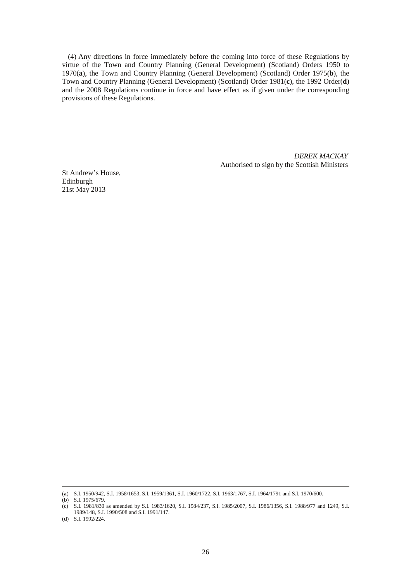(4) Any directions in force immediately before the coming into force of these Regulations by virtue of the Town and Country Planning (General Development) (Scotland) Orders 1950 to 1970(**a**), the Town and Country Planning (General Development) (Scotland) Order 1975(**b**), the Town and Country Planning (General Development) (Scotland) Order 1981(**c**), the 1992 Order(**d**) and the 2008 Regulations continue in force and have effect as if given under the corresponding provisions of these Regulations.

> *DEREK MACKAY* Authorised to sign by the Scottish Ministers

St Andrew's House, Edinburgh 21st May 2013

<sup>(</sup>**a**) S.I. 1950/942, S.I. 1958/1653, S.I. 1959/1361, S.I. 1960/1722, S.I. 1963/1767, S.I. 1964/1791 and S.I. 1970/600.

<sup>(</sup>**b**) S.I. 1975/679.

<sup>(</sup>**c**) S.I. 1981/830 as amended by S.I. 1983/1620, S.I. 1984/237, S.I. 1985/2007, S.I. 1986/1356, S.I. 1988/977 and 1249, S.I. 1989/148, S.I. 1990/508 and S.I. 1991/147.

<sup>(</sup>**d**) S.I. 1992/224.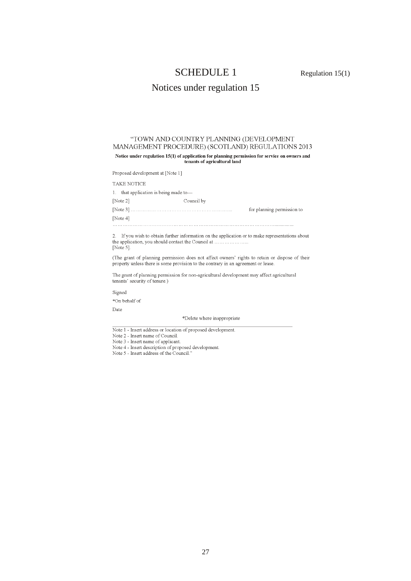## SCHEDULE 1 Regulation 15(1)

## Notices under regulation 15

### "TOWN AND COUNTRY PLANNING (DEVELOPMENT MANAGEMENT PROCEDURE) (SCOTLAND) REGULATIONS 2013

#### Notice under regulation 15(1) of application for planning permission for service on owners and tenants of agricultural land

Proposed development at [Note 1]

TAKE NOTICE

1. that application is being made to-

[Note  $2$ ] Council by

for planning permission to

[Note  $4$ ]

2. If you wish to obtain further information on the application or to make representations about the application, you should contact the Council at ....................... [Note  $5$ ].

(The grant of planning permission does not affect owners' rights to retain or dispose of their property unless there is some provision to the contrary in an agreement or lease.

The grant of planning permission for non-agricultural development may affect agricultural tenants' security of tenure.)

Signed

\*On behalf of

Date

#### \*Delete where inappropriate

Note 1 - Insert address or location of proposed development.

Note 2 - Insert name of Council.

Note 3 - Insert name of applicant.

- Note 4 Insert name of approach.<br>Note 4 Insert description of proposed development.<br>Note 5 Insert address of the Council."
-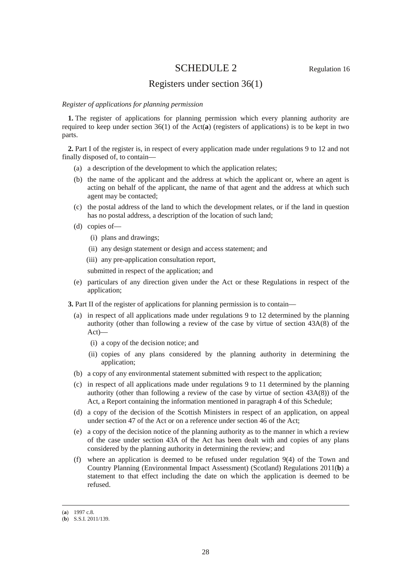## SCHEDULE 2 Regulation 16

## Registers under section 36(1)

#### *Register of applications for planning permission*

**1.** The register of applications for planning permission which every planning authority are required to keep under section 36(1) of the Act(**a**) (registers of applications) is to be kept in two parts.

**2.** Part I of the register is, in respect of every application made under regulations 9 to 12 and not finally disposed of, to contain—

- (a) a description of the development to which the application relates;
- (b) the name of the applicant and the address at which the applicant or, where an agent is acting on behalf of the applicant, the name of that agent and the address at which such agent may be contacted;
- (c) the postal address of the land to which the development relates, or if the land in question has no postal address, a description of the location of such land;
- (d) copies of—
	- (i) plans and drawings;
	- (ii) any design statement or design and access statement; and
	- (iii) any pre-application consultation report,

submitted in respect of the application; and

- (e) particulars of any direction given under the Act or these Regulations in respect of the application;
- **3.** Part II of the register of applications for planning permission is to contain—
	- (a) in respect of all applications made under regulations 9 to 12 determined by the planning authority (other than following a review of the case by virtue of section 43A(8) of the Act)—
		- (i) a copy of the decision notice; and
		- (ii) copies of any plans considered by the planning authority in determining the application;
	- (b) a copy of any environmental statement submitted with respect to the application;
	- (c) in respect of all applications made under regulations 9 to 11 determined by the planning authority (other than following a review of the case by virtue of section  $43A(8)$ ) of the Act, a Report containing the information mentioned in paragraph 4 of this Schedule;
	- (d) a copy of the decision of the Scottish Ministers in respect of an application, on appeal under section 47 of the Act or on a reference under section 46 of the Act;
	- (e) a copy of the decision notice of the planning authority as to the manner in which a review of the case under section 43A of the Act has been dealt with and copies of any plans considered by the planning authority in determining the review; and
	- (f) where an application is deemed to be refused under regulation 9(4) of the Town and Country Planning (Environmental Impact Assessment) (Scotland) Regulations 2011(**b**) a statement to that effect including the date on which the application is deemed to be refused.

<sup>(</sup>**a**) 1997 c.8.

<sup>(</sup>**b**) S.S.I. 2011/139.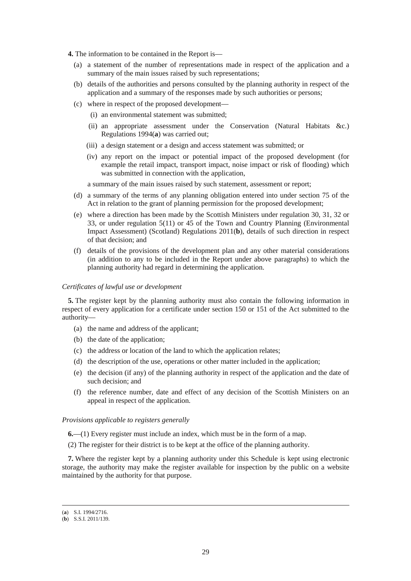- **4.** The information to be contained in the Report is—
	- (a) a statement of the number of representations made in respect of the application and a summary of the main issues raised by such representations:
	- (b) details of the authorities and persons consulted by the planning authority in respect of the application and a summary of the responses made by such authorities or persons;
	- (c) where in respect of the proposed development—
		- (i) an environmental statement was submitted;
		- (ii) an appropriate assessment under the Conservation (Natural Habitats &c.) Regulations 1994(**a**) was carried out;
		- (iii) a design statement or a design and access statement was submitted; or
		- (iv) any report on the impact or potential impact of the proposed development (for example the retail impact, transport impact, noise impact or risk of flooding) which was submitted in connection with the application,

a summary of the main issues raised by such statement, assessment or report;

- (d) a summary of the terms of any planning obligation entered into under section 75 of the Act in relation to the grant of planning permission for the proposed development;
- (e) where a direction has been made by the Scottish Ministers under regulation 30, 31, 32 or 33, or under regulation 5(11) or 45 of the Town and Country Planning (Environmental Impact Assessment) (Scotland) Regulations 2011(**b**), details of such direction in respect of that decision; and
- (f) details of the provisions of the development plan and any other material considerations (in addition to any to be included in the Report under above paragraphs) to which the planning authority had regard in determining the application.

#### *Certificates of lawful use or development*

**5.** The register kept by the planning authority must also contain the following information in respect of every application for a certificate under section 150 or 151 of the Act submitted to the authority—

- (a) the name and address of the applicant;
- (b) the date of the application;
- (c) the address or location of the land to which the application relates;
- (d) the description of the use, operations or other matter included in the application;
- (e) the decision (if any) of the planning authority in respect of the application and the date of such decision; and
- (f) the reference number, date and effect of any decision of the Scottish Ministers on an appeal in respect of the application.

#### *Provisions applicable to registers generally*

**6.**—(1) Every register must include an index, which must be in the form of a map.

(2) The register for their district is to be kept at the office of the planning authority.

**7.** Where the register kept by a planning authority under this Schedule is kept using electronic storage, the authority may make the register available for inspection by the public on a website maintained by the authority for that purpose.

<sup>(</sup>**a**) S.I. 1994/2716.

<sup>(</sup>**b**) S.S.I. 2011/139.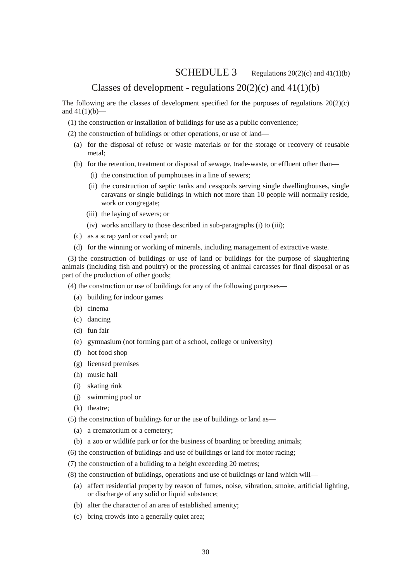## **SCHEDULE 3** Regulations  $20(2)(c)$  and  $41(1)(b)$

## Classes of development - regulations  $20(2)(c)$  and  $41(1)(b)$

The following are the classes of development specified for the purposes of regulations  $20(2)(c)$ and  $41(1)(b)$ -

(1) the construction or installation of buildings for use as a public convenience;

(2) the construction of buildings or other operations, or use of land—

- (a) for the disposal of refuse or waste materials or for the storage or recovery of reusable metal;
- (b) for the retention, treatment or disposal of sewage, trade-waste, or effluent other than—
	- (i) the construction of pumphouses in a line of sewers;
	- (ii) the construction of septic tanks and cesspools serving single dwellinghouses, single caravans or single buildings in which not more than 10 people will normally reside, work or congregate;
	- (iii) the laying of sewers; or
	- (iv) works ancillary to those described in sub-paragraphs (i) to (iii);
- (c) as a scrap yard or coal yard; or
- (d) for the winning or working of minerals, including management of extractive waste.

(3) the construction of buildings or use of land or buildings for the purpose of slaughtering animals (including fish and poultry) or the processing of animal carcasses for final disposal or as part of the production of other goods;

(4) the construction or use of buildings for any of the following purposes—

- (a) building for indoor games
- (b) cinema
- (c) dancing
- (d) fun fair
- (e) gymnasium (not forming part of a school, college or university)
- (f) hot food shop
- (g) licensed premises
- (h) music hall
- (i) skating rink
- (j) swimming pool or
- (k) theatre;
- (5) the construction of buildings for or the use of buildings or land as—
	- (a) a crematorium or a cemetery;
	- (b) a zoo or wildlife park or for the business of boarding or breeding animals;
- (6) the construction of buildings and use of buildings or land for motor racing;
- (7) the construction of a building to a height exceeding 20 metres;
- (8) the construction of buildings, operations and use of buildings or land which will—
	- (a) affect residential property by reason of fumes, noise, vibration, smoke, artificial lighting, or discharge of any solid or liquid substance;
	- (b) alter the character of an area of established amenity;
	- (c) bring crowds into a generally quiet area;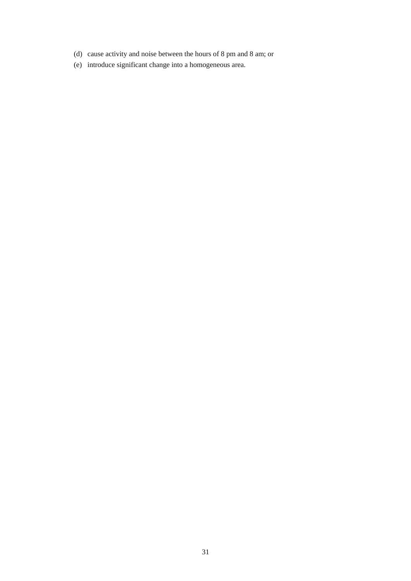- (d) cause activity and noise between the hours of 8 pm and 8 am; or
- (e) introduce significant change into a homogeneous area.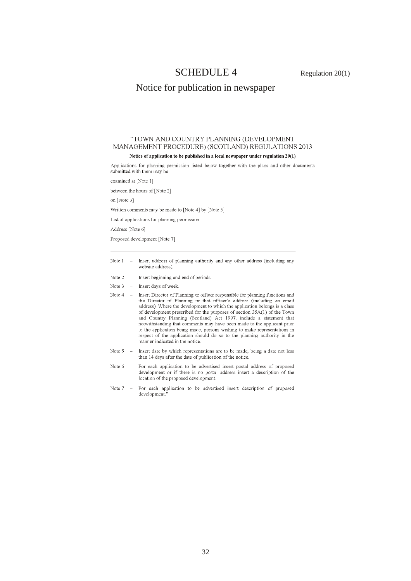## SCHEDULE 4 Regulation 20(1)

## Notice for publication in newspaper

## "TOWN AND COUNTRY PLANNING (DEVELOPMENT MANAGEMENT PROCEDURE) (SCOTLAND) REGULATIONS 2013

#### Notice of application to be published in a local newspaper under regulation 20(1)

Applications for planning permission listed below together with the plans and other documents submitted with them may be

examined at [Note 1]

between the hours of [Note 2]

on [Note 3]

Written comments may be made to [Note 4] by [Note 5]

List of applications for planning permission

Address [Note 6]

Proposed development [Note 7]

- Note  $1 -$ Insert address of planning authority and any other address (including any website address)
- Note  $2 -$  Insert beginning and end of periods.
- Note  $3 -$ Insert days of week
- Note 4 Insert Director of Planning or officer responsible for planning functions and  $\sim$ the Director of Planning or that officer's address (including an email address). Where the development to which the application belongs is a class of development prescribed for the purposes of section  $35A(1)$  of the Town and Country Planning (Scotland) Act 1997, include a statement that notwithstanding that comments may have been made to the applicant prior to the application being made, persons wishing to make representations in respect of the application should do so to the planning authority in the manner indicated in the notice.
- Note  $5 -$ Insert date by which representations are to be made, being a date not less than 14 days after the date of publication of the notice.
- For each application to be advertised insert postal address of proposed Note 6  $\overline{a}$ development or if there is no postal address insert a description of the location of the proposed development.
- Note  $7 -$ For each application to be advertised insert description of proposed development.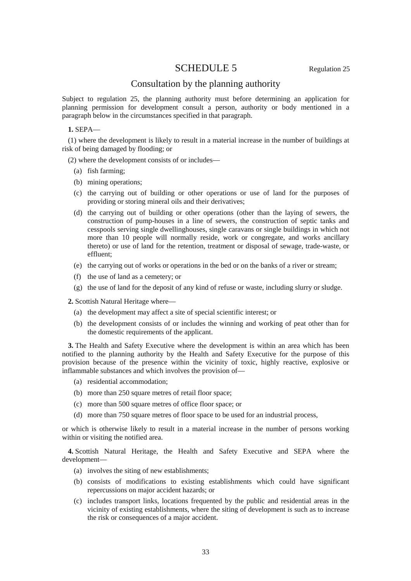## SCHEDULE 5 Regulation 25

## Consultation by the planning authority

Subject to regulation 25, the planning authority must before determining an application for planning permission for development consult a person, authority or body mentioned in a paragraph below in the circumstances specified in that paragraph.

#### **1.** SEPA—

(1) where the development is likely to result in a material increase in the number of buildings at risk of being damaged by flooding; or

(2) where the development consists of or includes—

- (a) fish farming;
- (b) mining operations;
- (c) the carrying out of building or other operations or use of land for the purposes of providing or storing mineral oils and their derivatives;
- (d) the carrying out of building or other operations (other than the laying of sewers, the construction of pump-houses in a line of sewers, the construction of septic tanks and cesspools serving single dwellinghouses, single caravans or single buildings in which not more than 10 people will normally reside, work or congregate, and works ancillary thereto) or use of land for the retention, treatment or disposal of sewage, trade-waste, or effluent;
- (e) the carrying out of works or operations in the bed or on the banks of a river or stream;
- (f) the use of land as a cemetery; or
- (g) the use of land for the deposit of any kind of refuse or waste, including slurry or sludge.

**2.** Scottish Natural Heritage where—

- (a) the development may affect a site of special scientific interest; or
- (b) the development consists of or includes the winning and working of peat other than for the domestic requirements of the applicant.

**3.** The Health and Safety Executive where the development is within an area which has been notified to the planning authority by the Health and Safety Executive for the purpose of this provision because of the presence within the vicinity of toxic, highly reactive, explosive or inflammable substances and which involves the provision of—

- (a) residential accommodation;
- (b) more than 250 square metres of retail floor space;
- (c) more than 500 square metres of office floor space; or
- (d) more than 750 square metres of floor space to be used for an industrial process,

or which is otherwise likely to result in a material increase in the number of persons working within or visiting the notified area.

**4.** Scottish Natural Heritage, the Health and Safety Executive and SEPA where the development—

- (a) involves the siting of new establishments;
- (b) consists of modifications to existing establishments which could have significant repercussions on major accident hazards; or
- (c) includes transport links, locations frequented by the public and residential areas in the vicinity of existing establishments, where the siting of development is such as to increase the risk or consequences of a major accident.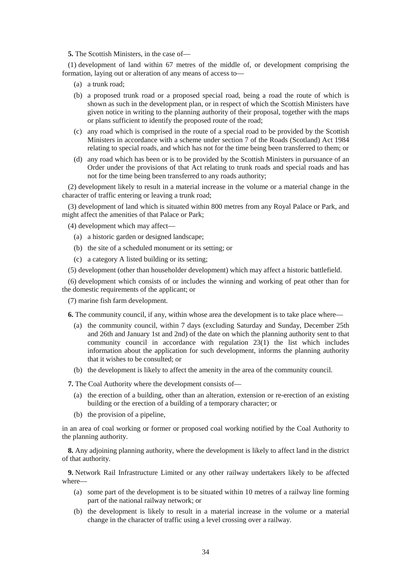**5.** The Scottish Ministers, in the case of—

(1) development of land within 67 metres of the middle of, or development comprising the formation, laying out or alteration of any means of access to—

- (a) a trunk road;
- (b) a proposed trunk road or a proposed special road, being a road the route of which is shown as such in the development plan, or in respect of which the Scottish Ministers have given notice in writing to the planning authority of their proposal, together with the maps or plans sufficient to identify the proposed route of the road;
- (c) any road which is comprised in the route of a special road to be provided by the Scottish Ministers in accordance with a scheme under section 7 of the Roads (Scotland) Act 1984 relating to special roads, and which has not for the time being been transferred to them; or
- (d) any road which has been or is to be provided by the Scottish Ministers in pursuance of an Order under the provisions of that Act relating to trunk roads and special roads and has not for the time being been transferred to any roads authority;

(2) development likely to result in a material increase in the volume or a material change in the character of traffic entering or leaving a trunk road;

(3) development of land which is situated within 800 metres from any Royal Palace or Park, and might affect the amenities of that Palace or Park;

(4) development which may affect—

- (a) a historic garden or designed landscape;
- (b) the site of a scheduled monument or its setting; or
- (c) a category A listed building or its setting;
- (5) development (other than householder development) which may affect a historic battlefield.

(6) development which consists of or includes the winning and working of peat other than for the domestic requirements of the applicant; or

(7) marine fish farm development.

**6.** The community council, if any, within whose area the development is to take place where—

- (a) the community council, within 7 days (excluding Saturday and Sunday, December 25th and 26th and January 1st and 2nd) of the date on which the planning authority sent to that community council in accordance with regulation  $23(1)$  the list which includes information about the application for such development, informs the planning authority that it wishes to be consulted; or
- (b) the development is likely to affect the amenity in the area of the community council.

**7.** The Coal Authority where the development consists of—

- (a) the erection of a building, other than an alteration, extension or re-erection of an existing building or the erection of a building of a temporary character; or
- (b) the provision of a pipeline,

in an area of coal working or former or proposed coal working notified by the Coal Authority to the planning authority.

**8.** Any adjoining planning authority, where the development is likely to affect land in the district of that authority.

**9.** Network Rail Infrastructure Limited or any other railway undertakers likely to be affected where—

- (a) some part of the development is to be situated within 10 metres of a railway line forming part of the national railway network; or
- (b) the development is likely to result in a material increase in the volume or a material change in the character of traffic using a level crossing over a railway.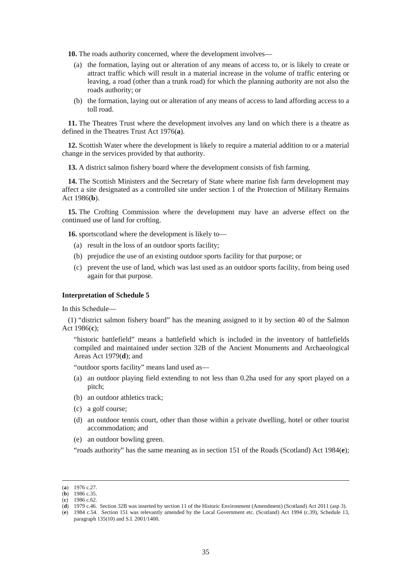**10.** The roads authority concerned, where the development involves—

- (a) the formation, laying out or alteration of any means of access to, or is likely to create or attract traffic which will result in a material increase in the volume of traffic entering or leaving, a road (other than a trunk road) for which the planning authority are not also the roads authority; or
- (b) the formation, laying out or alteration of any means of access to land affording access to a toll road.

**11.** The Theatres Trust where the development involves any land on which there is a theatre as defined in the Theatres Trust Act 1976(**a**).

**12.** Scottish Water where the development is likely to require a material addition to or a material change in the services provided by that authority.

**13.** A district salmon fishery board where the development consists of fish farming.

**14.** The Scottish Ministers and the Secretary of State where marine fish farm development may affect a site designated as a controlled site under section 1 of the Protection of Military Remains Act 1986(**b**).

**15.** The Crofting Commission where the development may have an adverse effect on the continued use of land for crofting.

**16.** sportscotland where the development is likely to—

- (a) result in the loss of an outdoor sports facility;
- (b) prejudice the use of an existing outdoor sports facility for that purpose; or
- (c) prevent the use of land, which was last used as an outdoor sports facility, from being used again for that purpose.

#### **Interpretation of Schedule 5**

In this Schedule—

(1) "district salmon fishery board" has the meaning assigned to it by section 40 of the Salmon Act 1986(**c**);

"historic battlefield" means a battlefield which is included in the inventory of battlefields compiled and maintained under section 32B of the Ancient Monuments and Archaeological Areas Act 1979(**d**); and

"outdoor sports facility" means land used as—

- (a) an outdoor playing field extending to not less than 0.2ha used for any sport played on a pitch;
- (b) an outdoor athletics track;
- (c) a golf course;
- (d) an outdoor tennis court, other than those within a private dwelling, hotel or other tourist accommodation; and
- (e) an outdoor bowling green.

"roads authority" has the same meaning as in section 151 of the Roads (Scotland) Act 1984(**e**);

<sup>(</sup>**a**) 1976 c.27.

<sup>(</sup>**b**) 1986 c.35.

<sup>(</sup>**c**) 1986 c.62.

<sup>(</sup>**d**) 1979 c.46. Section 32B was inserted by section 11 of the Historic Environment (Amendment) (Scotland) Act 2011 (asp 3).

<sup>(</sup>**e**) 1984 c.54. Section 151 was relevantly amended by the Local Government etc. (Scotland) Act 1994 (c.39), Schedule 13, paragraph 135(10) and S.I. 2001/1400.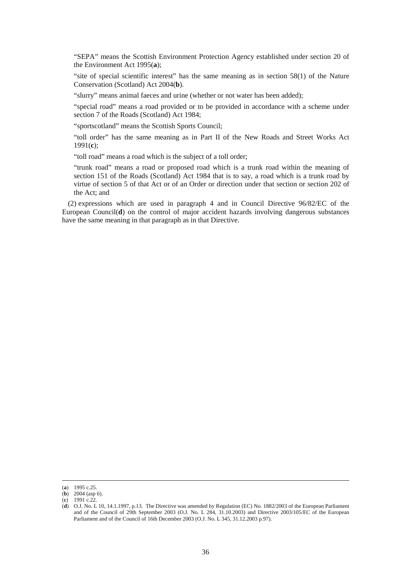"SEPA" means the Scottish Environment Protection Agency established under section 20 of the Environment Act 1995(**a**);

"site of special scientific interest" has the same meaning as in section 58(1) of the Nature Conservation (Scotland) Act 2004(**b**).

"slurry" means animal faeces and urine (whether or not water has been added);

"special road" means a road provided or to be provided in accordance with a scheme under section 7 of the Roads (Scotland) Act 1984;

"sportscotland" means the Scottish Sports Council;

"toll order" has the same meaning as in Part II of the New Roads and Street Works Act 1991(**c**);

"toll road" means a road which is the subject of a toll order;

"trunk road" means a road or proposed road which is a trunk road within the meaning of section 151 of the Roads (Scotland) Act 1984 that is to say, a road which is a trunk road by virtue of section 5 of that Act or of an Order or direction under that section or section 202 of the Act; and

(2) expressions which are used in paragraph 4 and in Council Directive 96/82/EC of the European Council(**d**) on the control of major accident hazards involving dangerous substances have the same meaning in that paragraph as in that Directive.

<sup>(</sup>**a**) 1995 c.25.

<sup>(</sup>**b**) 2004 (asp 6).

<sup>(</sup>**c**) 1991 c.22.

<sup>(</sup>**d**) O.J. No. L 10, 14.1.1997, p.13. The Directive was amended by Regulation (EC) No. 1882/2003 of the European Parliament and of the Council of 29th September 2003 (O.J. No. L 284, 31.10.2003) and Directive 2003/105/EC of the European Parliament and of the Council of 16th December 2003 (O.J. No. L 345, 31.12.2003 p.97).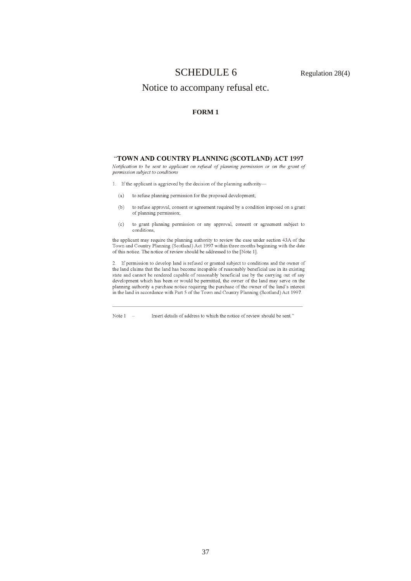## SCHEDULE 6 Regulation 28(4)

## Notice to accompany refusal etc.

### **FORM 1**

#### "TOWN AND COUNTRY PLANNING (SCOTLAND) ACT 1997

Notification to be sent to applicant on refusal of planning permission or on the grant of permission subject to conditions

1. If the applicant is aggrieved by the decision of the planning authority-

- $(a)$ to refuse planning permission for the proposed development;
- $(b)$ to refuse approval, consent or agreement required by a condition imposed on a grant of planning permission,
- to grant planning permission or any approval, consent or agreement subject to  $(c)$ conditions,

the applicant may require the planning authority to review the case under section 43A of the Town and Country Planning (Scotland) Act 1997 within three months beginning with the date of this notice. The notice of review should be addressed to the [Note 1].

2. If permission to develop land is refused or granted subject to conditions and the owner of the land claims that the land has become incapable of reasonably beneficial use in its existing state and cannot be rendered capable of reasonably beneficial use by the carrying out of any development which has been or would be permitted, the owner of the land may serve on the planning authority a purchase notice requiring the purchase of the owner of the land's interest in the land in accordance with Part 5 of the Town and Country Planning (Scotland) Act 1997.

Note  $1 -$ Insert details of address to which the notice of review should be sent."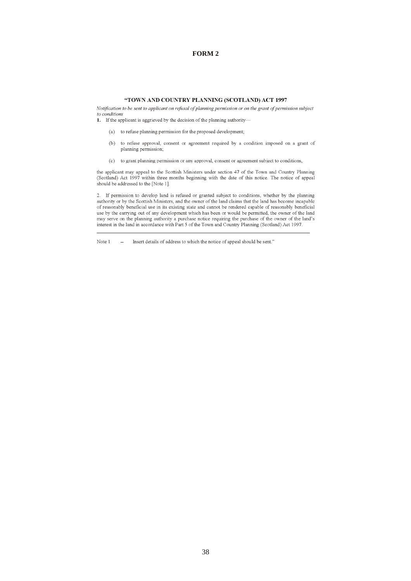#### **FORM 2**

#### "TOWN AND COUNTRY PLANNING (SCOTLAND) ACT 1997

Notification to be sent to applicant on refusal of planning permission or on the grant of permission subject to conditions

- 1. If the applicant is aggrieved by the decision of the planning authority-
	- (a) to refuse planning permission for the proposed development;
	- (b) to refuse approval, consent or agreement required by a condition imposed on a grant of planning permission;
	- (c) to grant planning permission or any approval, consent or agreement subject to conditions,

the applicant may appeal to the Scottish Ministers under section 47 of the Town and Country Planning (Scotland) Act 1997 within three months beginning with the date of this notice. The notice of appeal should be addressed to the [Note 1].

2. If permission to develop land is refused or granted subject to conditions, whether by the planning authority or by the Scottish Ministers, and the owner of the land claims that the land has become incapable of reasonably beneficial use in its existing state and cannot be rendered capable of reasonably beneficial use by the carrying out of any development which has been or would be permitted, the owner of the land may serve on the planning authority a purchase notice requiring the purchase of the owner of the land's interest in the land in accordance with Part 5 of the Town and Country Planning (Scotland) Act 1997.

- Insert details of address to which the notice of appeal should be sent." Note 1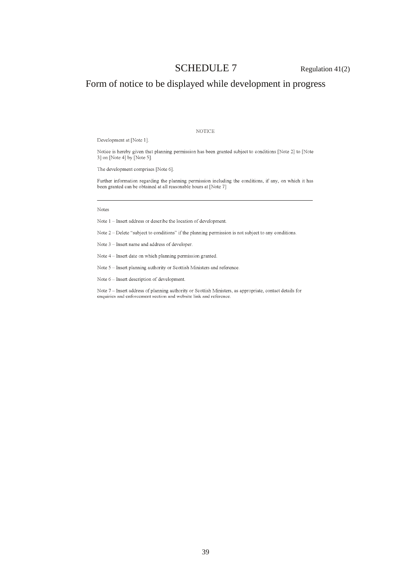# SCHEDULE 7 Regulation 41(2)

# Form of notice to be displayed while development in progress

**NOTICE** 

Development at [Note 1].

Notice is hereby given that planning permission has been granted subject to conditions [Note 2] to [Note  $3]$  on [Note 4] by [Note 5].

The development comprises [Note 6].

Further information regarding the planning permission including the conditions, if any, on which it has been granted can be obtained at all reasonable hours at [Note  $7$ ]

#### Notes

Note 1 – Insert address or describe the location of development.

Note 2 – Delete "subject to conditions" if the planning permission is not subject to any conditions.

Note 3 - Insert name and address of developer

Note 4 - Insert date on which planning permission granted.

Note 5 - Insert planning authority or Scottish Ministers and reference.

Note 6 - Insert description of development.

Note 7 - Insert address of planning authority or Scottish Ministers, as appropriate, contact details for enquiries and enforcement section and website link and reference.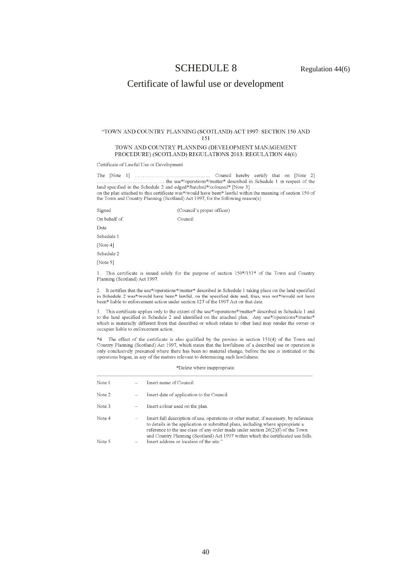## SCHEDULE 8 Regulation 44(6)

## Certificate of lawful use or development

#### "TOWN AND COUNTRY PLANNING (SCOTLAND) ACT 1997: SECTION 150 AND 151 TOWN AND COUNTRY PLANNING (DEVELOPMENT MANAGEMENT PROCEDURE) (SCOTLAND) REGULATIONS 2013: REGULATION 44(6)

Certificate of Lawful Use or Development

(Council's proper officer) Signed On behalf of Council Date Schedule 1 [Note  $4$ ] Schedule 2 [Note  $5$ ]

1. This certificate is issued solely for the purpose of section 150\*/151\* of the Town and Country Planning (Scotland) Act 1997.

2. It certifies that the use\*/operations\*/matter\* described in Schedule 1 taking place on the land specified in Schedule 2 was\*/would have been\* lawful, on the specified date and, thus, was not\*/would not have been\* liable to enforcement action under section 127 of the 1997 Act on that date.

3. This certificate applies only to the extent of the use\*/operations\*/matter\* described in Schedule 1 and to the land specified in Schedule 2 and identified on the attached plan. Any use\*/operations\*/matter\* which is materially different from that described or which relates to other land may render the owner or occupier liable to enforcement action.

\*4. The effect of the certificate is also qualified by the proviso in section 151(4) of the Town and Country Planning (Scotland) Act 1997, which states that the lawfulness of a described use or operation is only conclusively presumed where there has been no material change, before the use is instituted or the operations begun, in any of the matters relevant to determining such lawfulness.

\*Delete where inappropriate.

| Note 1 | Insert name of Council.                                                                                                                                                                                                                                                                                                                             |
|--------|-----------------------------------------------------------------------------------------------------------------------------------------------------------------------------------------------------------------------------------------------------------------------------------------------------------------------------------------------------|
| Note 2 | Insert date of application to the Council.                                                                                                                                                                                                                                                                                                          |
| Note 3 | Insert colour used on the plan.                                                                                                                                                                                                                                                                                                                     |
| Note 4 | Insert full description of use, operations or other matter, if necessary, by reference<br>to details in the application or submitted plans, including where appropriate a<br>reference to the use class of any order made under section $26(2)(f)$ of the Town<br>and Country Planning (Scotland) Act 1997 within which the certificated use falls. |
| Note 5 | Insert address or location of the site."                                                                                                                                                                                                                                                                                                            |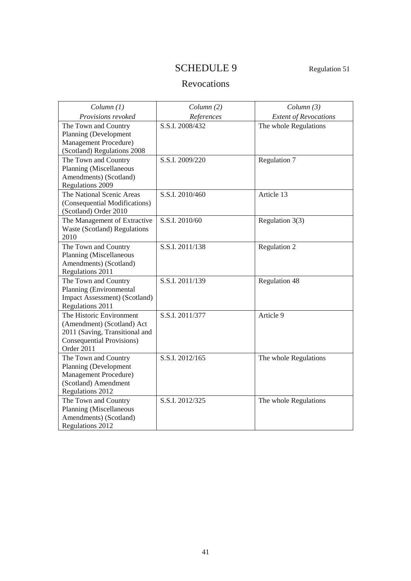# SCHEDULE 9 Regulation 51

# Revocations

| Column(1)                           | Column(2)       | Column(3)                    |
|-------------------------------------|-----------------|------------------------------|
| Provisions revoked                  | References      | <b>Extent of Revocations</b> |
| The Town and Country                | S.S.I. 2008/432 | The whole Regulations        |
| Planning (Development               |                 |                              |
| Management Procedure)               |                 |                              |
| (Scotland) Regulations 2008         |                 |                              |
| The Town and Country                | S.S.I. 2009/220 | <b>Regulation 7</b>          |
| <b>Planning (Miscellaneous</b>      |                 |                              |
| Amendments) (Scotland)              |                 |                              |
| <b>Regulations 2009</b>             |                 |                              |
| The National Scenic Areas           | S.S.I. 2010/460 | Article 13                   |
| (Consequential Modifications)       |                 |                              |
| (Scotland) Order 2010               |                 |                              |
| The Management of Extractive        | S.S.I. 2010/60  | Regulation 3(3)              |
| <b>Waste (Scotland) Regulations</b> |                 |                              |
| 2010                                |                 |                              |
| The Town and Country                | S.S.I. 2011/138 | Regulation 2                 |
| Planning (Miscellaneous             |                 |                              |
| Amendments) (Scotland)              |                 |                              |
| Regulations 2011                    |                 |                              |
| The Town and Country                | S.S.I. 2011/139 | <b>Regulation 48</b>         |
| Planning (Environmental             |                 |                              |
| Impact Assessment) (Scotland)       |                 |                              |
| Regulations 2011                    |                 |                              |
| The Historic Environment            | S.S.I. 2011/377 | Article 9                    |
| (Amendment) (Scotland) Act          |                 |                              |
| 2011 (Saving, Transitional and      |                 |                              |
| <b>Consequential Provisions)</b>    |                 |                              |
| Order 2011                          |                 |                              |
| The Town and Country                | S.S.I. 2012/165 | The whole Regulations        |
| Planning (Development               |                 |                              |
| Management Procedure)               |                 |                              |
| (Scotland) Amendment                |                 |                              |
| Regulations 2012                    |                 |                              |
| The Town and Country                | S.S.I. 2012/325 | The whole Regulations        |
| Planning (Miscellaneous             |                 |                              |
| Amendments) (Scotland)              |                 |                              |
| Regulations 2012                    |                 |                              |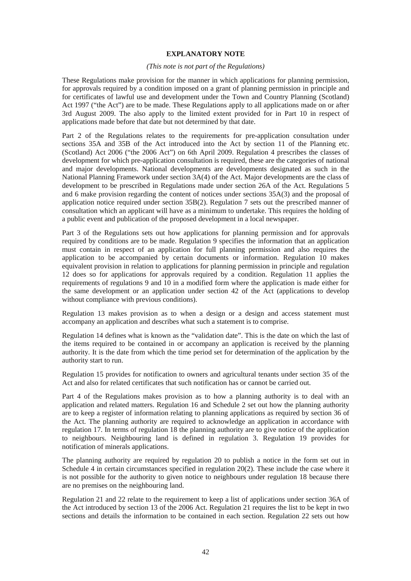#### **EXPLANATORY NOTE**

#### *(This note is not part of the Regulations)*

These Regulations make provision for the manner in which applications for planning permission, for approvals required by a condition imposed on a grant of planning permission in principle and for certificates of lawful use and development under the Town and Country Planning (Scotland) Act 1997 ("the Act") are to be made. These Regulations apply to all applications made on or after 3rd August 2009. The also apply to the limited extent provided for in Part 10 in respect of applications made before that date but not determined by that date.

Part 2 of the Regulations relates to the requirements for pre-application consultation under sections 35A and 35B of the Act introduced into the Act by section 11 of the Planning etc. (Scotland) Act 2006 ("the 2006 Act") on 6th April 2009. Regulation 4 prescribes the classes of development for which pre-application consultation is required, these are the categories of national and major developments. National developments are developments designated as such in the National Planning Framework under section 3A(4) of the Act. Major developments are the class of development to be prescribed in Regulations made under section 26A of the Act. Regulations 5 and 6 make provision regarding the content of notices under sections 35A(3) and the proposal of application notice required under section 35B(2). Regulation 7 sets out the prescribed manner of consultation which an applicant will have as a minimum to undertake. This requires the holding of a public event and publication of the proposed development in a local newspaper.

Part 3 of the Regulations sets out how applications for planning permission and for approvals required by conditions are to be made. Regulation 9 specifies the information that an application must contain in respect of an application for full planning permission and also requires the application to be accompanied by certain documents or information. Regulation 10 makes equivalent provision in relation to applications for planning permission in principle and regulation 12 does so for applications for approvals required by a condition. Regulation 11 applies the requirements of regulations 9 and 10 in a modified form where the application is made either for the same development or an application under section 42 of the Act (applications to develop without compliance with previous conditions).

Regulation 13 makes provision as to when a design or a design and access statement must accompany an application and describes what such a statement is to comprise.

Regulation 14 defines what is known as the "validation date". This is the date on which the last of the items required to be contained in or accompany an application is received by the planning authority. It is the date from which the time period set for determination of the application by the authority start to run.

Regulation 15 provides for notification to owners and agricultural tenants under section 35 of the Act and also for related certificates that such notification has or cannot be carried out.

Part 4 of the Regulations makes provision as to how a planning authority is to deal with an application and related matters. Regulation 16 and Schedule 2 set out how the planning authority are to keep a register of information relating to planning applications as required by section 36 of the Act. The planning authority are required to acknowledge an application in accordance with regulation 17. In terms of regulation 18 the planning authority are to give notice of the application to neighbours. Neighbouring land is defined in regulation 3. Regulation 19 provides for notification of minerals applications.

The planning authority are required by regulation 20 to publish a notice in the form set out in Schedule 4 in certain circumstances specified in regulation 20(2). These include the case where it is not possible for the authority to given notice to neighbours under regulation 18 because there are no premises on the neighbouring land.

Regulation 21 and 22 relate to the requirement to keep a list of applications under section 36A of the Act introduced by section 13 of the 2006 Act. Regulation 21 requires the list to be kept in two sections and details the information to be contained in each section. Regulation 22 sets out how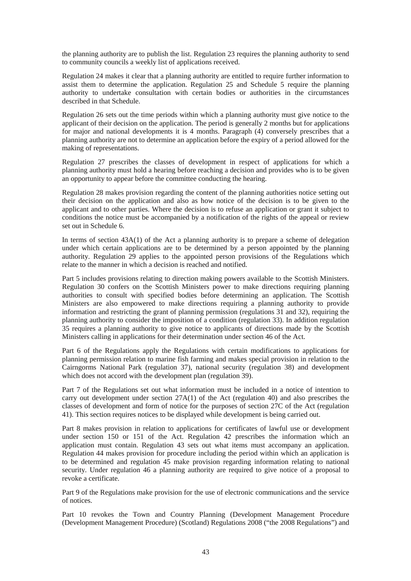the planning authority are to publish the list. Regulation 23 requires the planning authority to send to community councils a weekly list of applications received.

Regulation 24 makes it clear that a planning authority are entitled to require further information to assist them to determine the application. Regulation 25 and Schedule 5 require the planning authority to undertake consultation with certain bodies or authorities in the circumstances described in that Schedule.

Regulation 26 sets out the time periods within which a planning authority must give notice to the applicant of their decision on the application. The period is generally 2 months but for applications for major and national developments it is 4 months. Paragraph (4) conversely prescribes that a planning authority are not to determine an application before the expiry of a period allowed for the making of representations.

Regulation 27 prescribes the classes of development in respect of applications for which a planning authority must hold a hearing before reaching a decision and provides who is to be given an opportunity to appear before the committee conducting the hearing.

Regulation 28 makes provision regarding the content of the planning authorities notice setting out their decision on the application and also as how notice of the decision is to be given to the applicant and to other parties. Where the decision is to refuse an application or grant it subject to conditions the notice must be accompanied by a notification of the rights of the appeal or review set out in Schedule 6.

In terms of section  $43A(1)$  of the Act a planning authority is to prepare a scheme of delegation under which certain applications are to be determined by a person appointed by the planning authority. Regulation 29 applies to the appointed person provisions of the Regulations which relate to the manner in which a decision is reached and notified.

Part 5 includes provisions relating to direction making powers available to the Scottish Ministers. Regulation 30 confers on the Scottish Ministers power to make directions requiring planning authorities to consult with specified bodies before determining an application. The Scottish Ministers are also empowered to make directions requiring a planning authority to provide information and restricting the grant of planning permission (regulations 31 and 32), requiring the planning authority to consider the imposition of a condition (regulation 33). In addition regulation 35 requires a planning authority to give notice to applicants of directions made by the Scottish Ministers calling in applications for their determination under section 46 of the Act.

Part 6 of the Regulations apply the Regulations with certain modifications to applications for planning permission relation to marine fish farming and makes special provision in relation to the Cairngorms National Park (regulation 37), national security (regulation 38) and development which does not accord with the development plan (regulation 39).

Part 7 of the Regulations set out what information must be included in a notice of intention to carry out development under section 27A(1) of the Act (regulation 40) and also prescribes the classes of development and form of notice for the purposes of section 27C of the Act (regulation 41). This section requires notices to be displayed while development is being carried out.

Part 8 makes provision in relation to applications for certificates of lawful use or development under section 150 or 151 of the Act. Regulation 42 prescribes the information which an application must contain. Regulation 43 sets out what items must accompany an application. Regulation 44 makes provision for procedure including the period within which an application is to be determined and regulation 45 make provision regarding information relating to national security. Under regulation 46 a planning authority are required to give notice of a proposal to revoke a certificate.

Part 9 of the Regulations make provision for the use of electronic communications and the service of notices.

Part 10 revokes the Town and Country Planning (Development Management Procedure (Development Management Procedure) (Scotland) Regulations 2008 ("the 2008 Regulations") and